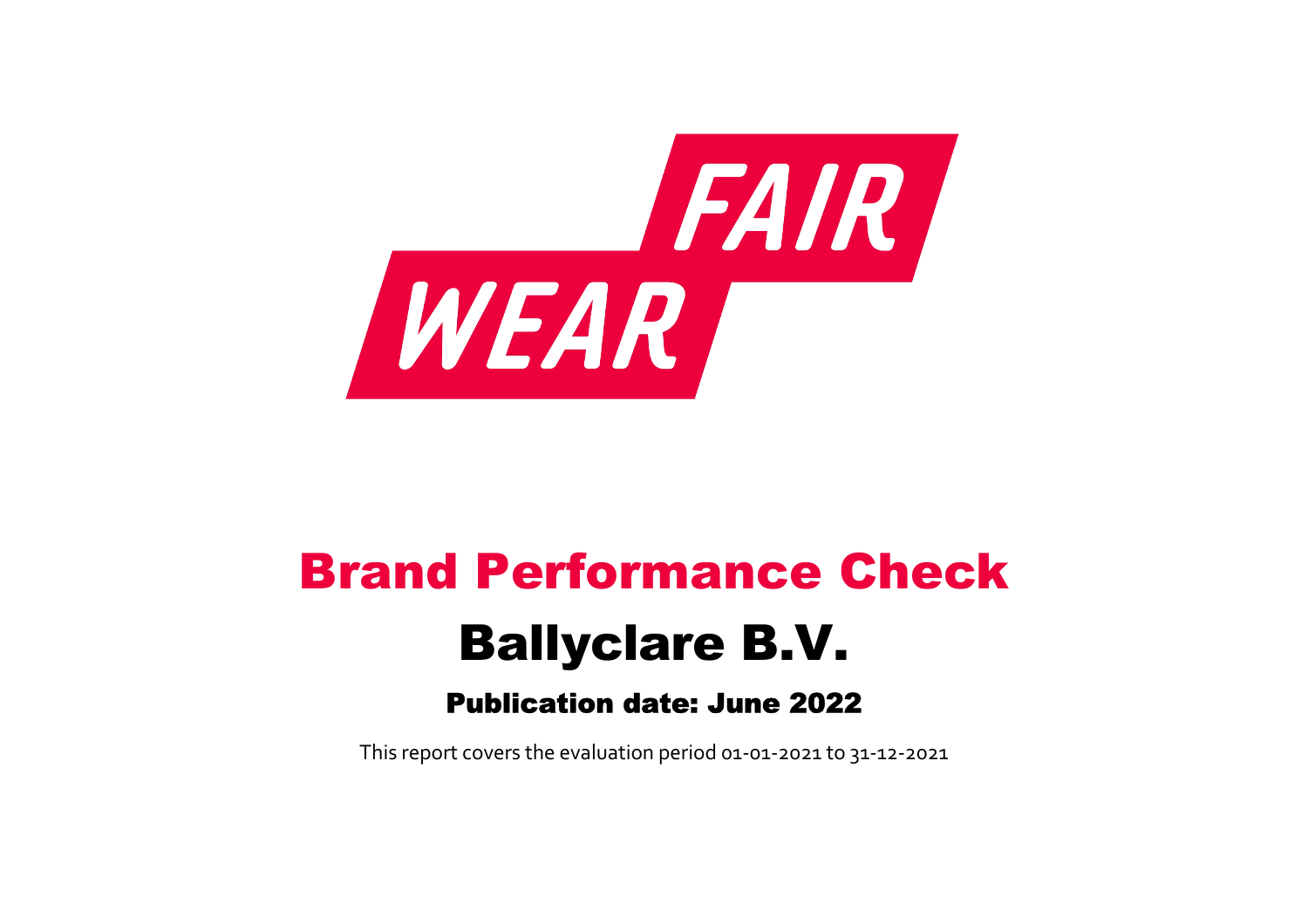

# Brand Performance Check Ballyclare B.V.

## Publication date: June 2022

This report covers the evaluation period 01‐01‐2021 to 31‐12‐2021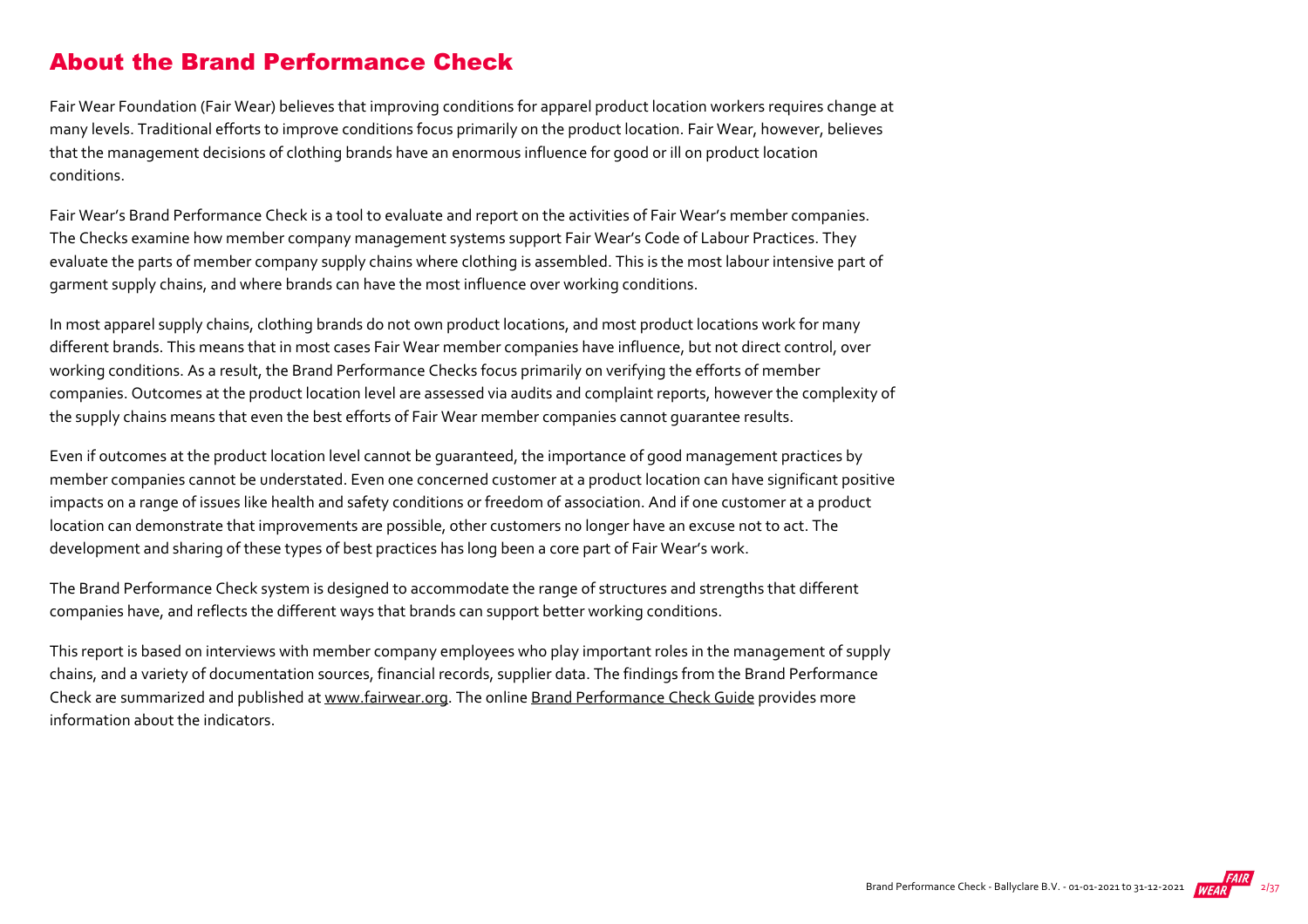#### About the Brand Performance Check

Fair Wear Foundation (Fair Wear) believes that improving conditions for apparel product location workers requires change at many levels. Traditional efforts to improve conditions focus primarily on the product location. Fair Wear, however, believes that the management decisions of clothing brands have an enormous influence for good or ill on product location conditions.

Fair Wear's Brand Performance Check is a tool to evaluate and report on the activities of Fair Wear's member companies. The Checks examine how member company management systems support Fair Wear's Code of Labour Practices. They evaluate the parts of member company supply chains where clothing is assembled. This is the most labour intensive part of garment supply chains, and where brands can have the most influence over working conditions.

In most apparel supply chains, clothing brands do not own product locations, and most product locations work for many different brands. This means that in most cases Fair Wear member companies have influence, but not direct control, over working conditions. As a result, the Brand Performance Checks focus primarily on verifying the efforts of member companies. Outcomes at the product location level are assessed via audits and complaint reports, however the complexity of the supply chains means that even the best efforts of Fair Wear member companies cannot guarantee results.

Even if outcomes at the product location level cannot be guaranteed, the importance of good management practices by member companies cannot be understated. Even one concerned customer at a product location can have significant positive impacts on a range of issues like health and safety conditions or freedom of association. And if one customer at a product location can demonstrate that improvements are possible, other customers no longer have an excuse not to act. The development and sharing of these types of best practices has long been a core part of Fair Wear's work.

The Brand Performance Check system is designed to accommodate the range of structures and strengths that different companies have, and reflects the different ways that brands can support better working conditions.

This report is based on interviews with member company employees who play important roles in the management of supply chains, and a variety of documentation sources, financial records, supplier data. The findings from the Brand Performance Check are summarized and published at [www.fairwear.org](http://www.fairwear.org/). The online [Brand Performance Check Guide](https://members.fairwear.org/resources/brand-performance-check-guide/12) provides more information about the indicators.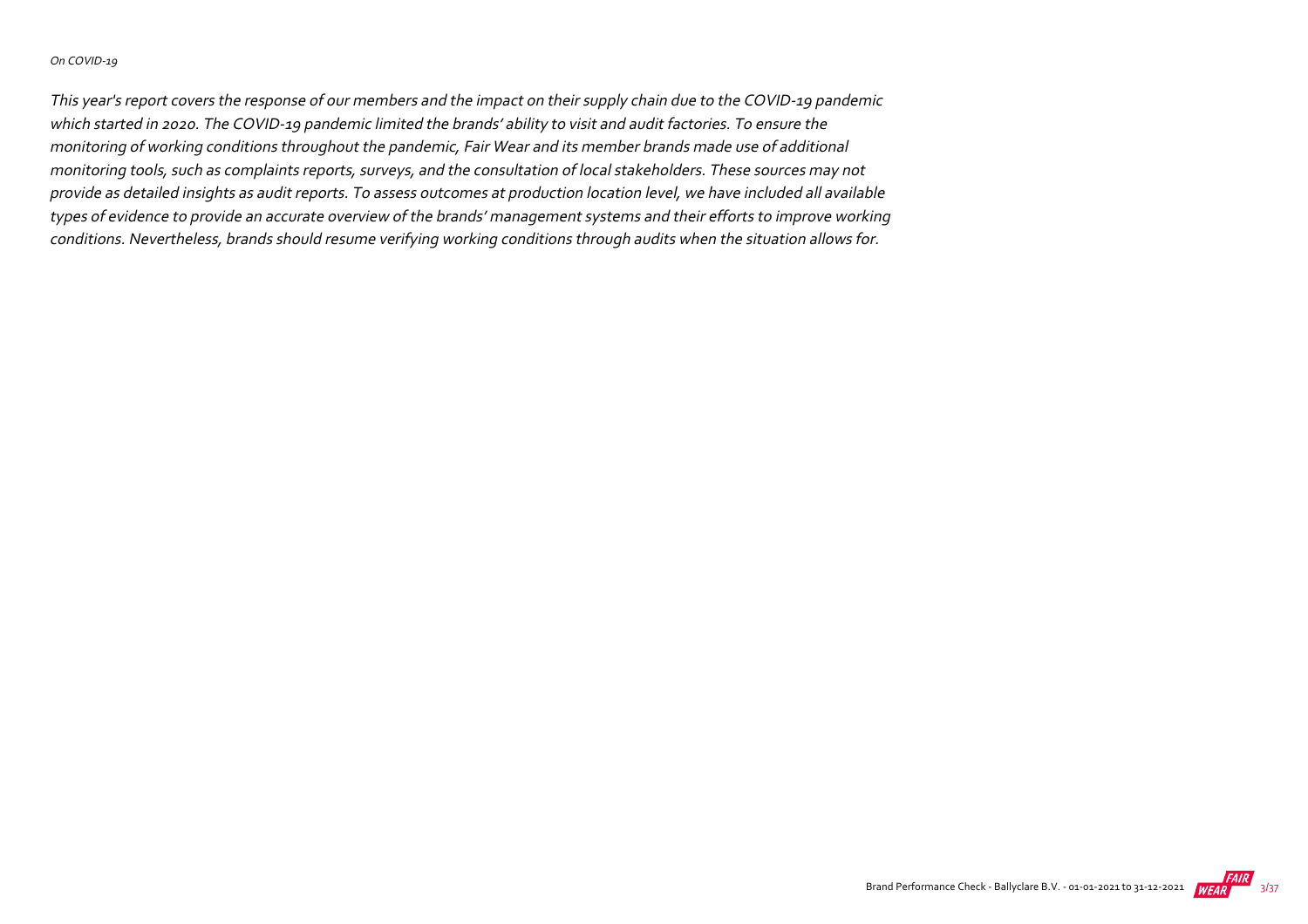#### On COVID‐19

This year's report covers the response of our members and the impact on their supply chain due to the COVID‐19 pandemic which started in 2020. The COVID‐19 pandemic limited the brands' ability to visit and audit factories. To ensure the monitoring of working conditions throughout the pandemic, Fair Wear and its member brands made use of additional monitoring tools, such as complaints reports, surveys, and the consultation of local stakeholders. These sources may not provide as detailed insights as audit reports. To assess outcomes at production location level, we have included all available types of evidence to provide an accurate overview of the brands' management systems and their efforts to improve working conditions. Nevertheless, brands should resume verifying working conditions through audits when the situation allows for.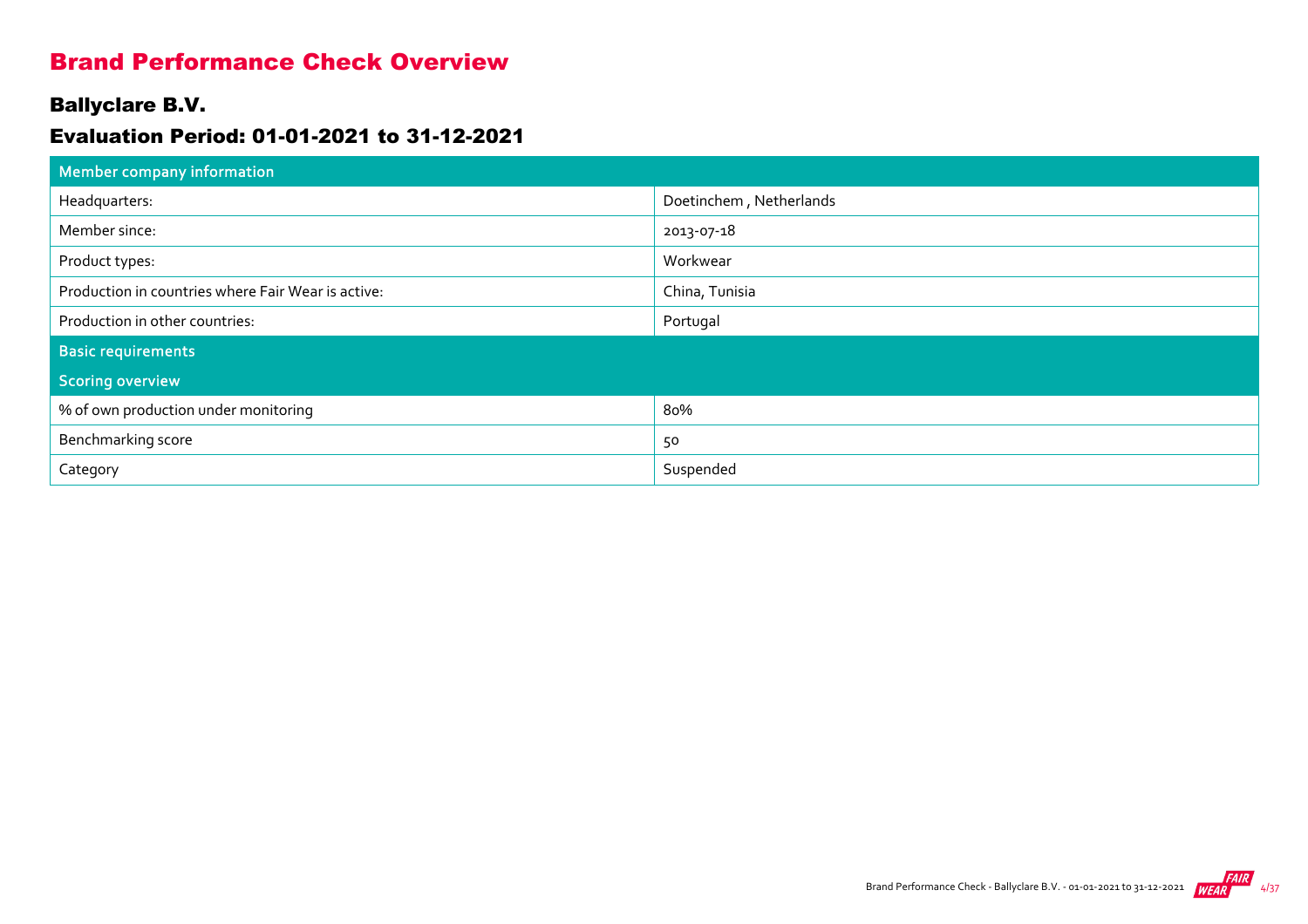#### Brand Performance Check Overview

#### Ballyclare B.V.

#### Evaluation Period: 01-01-2021 to 31-12-2021

| Member company information                         |                         |  |  |  |  |  |
|----------------------------------------------------|-------------------------|--|--|--|--|--|
| Headquarters:                                      | Doetinchem, Netherlands |  |  |  |  |  |
| Member since:                                      | 2013-07-18              |  |  |  |  |  |
| Product types:                                     | Workwear                |  |  |  |  |  |
| Production in countries where Fair Wear is active: | China, Tunisia          |  |  |  |  |  |
| Production in other countries:                     | Portugal                |  |  |  |  |  |
| <b>Basic requirements</b>                          |                         |  |  |  |  |  |
| <b>Scoring overview</b>                            |                         |  |  |  |  |  |
| % of own production under monitoring               | 80%                     |  |  |  |  |  |
| Benchmarking score                                 | 50                      |  |  |  |  |  |
| Category                                           | Suspended               |  |  |  |  |  |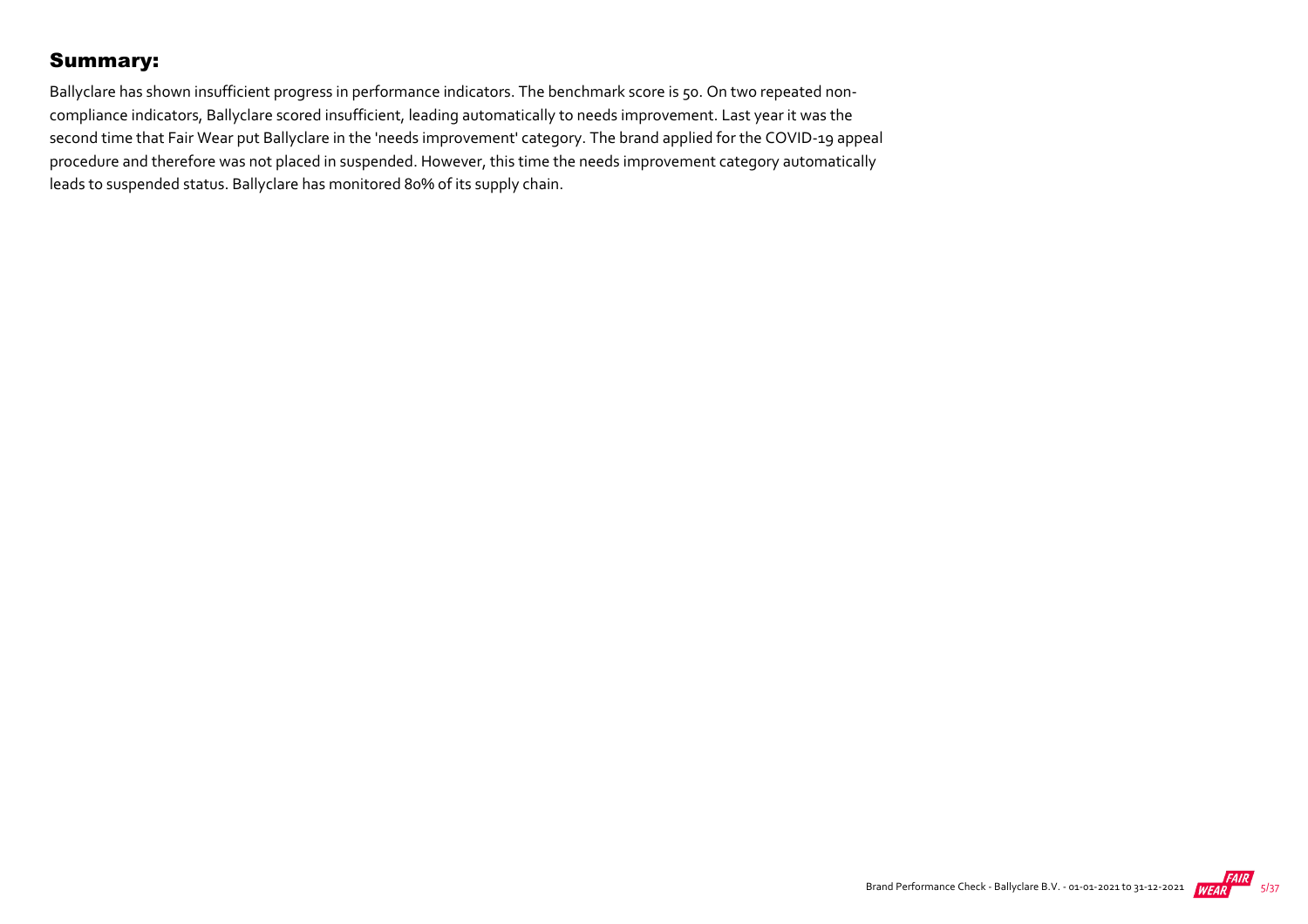#### Summary:

Ballyclare has shown insufficient progress in performance indicators. The benchmark score is 50. On two repeated noncompliance indicators, Ballyclare scored insufficient, leading automatically to needs improvement. Last year it was the second time that Fair Wear put Ballyclare in the 'needs improvement' category. The brand applied for the COVID‐19 appeal procedure and therefore was not placed in suspended. However, this time the needs improvement category automatically leads to suspended status. Ballyclare has monitored 80% of its supply chain.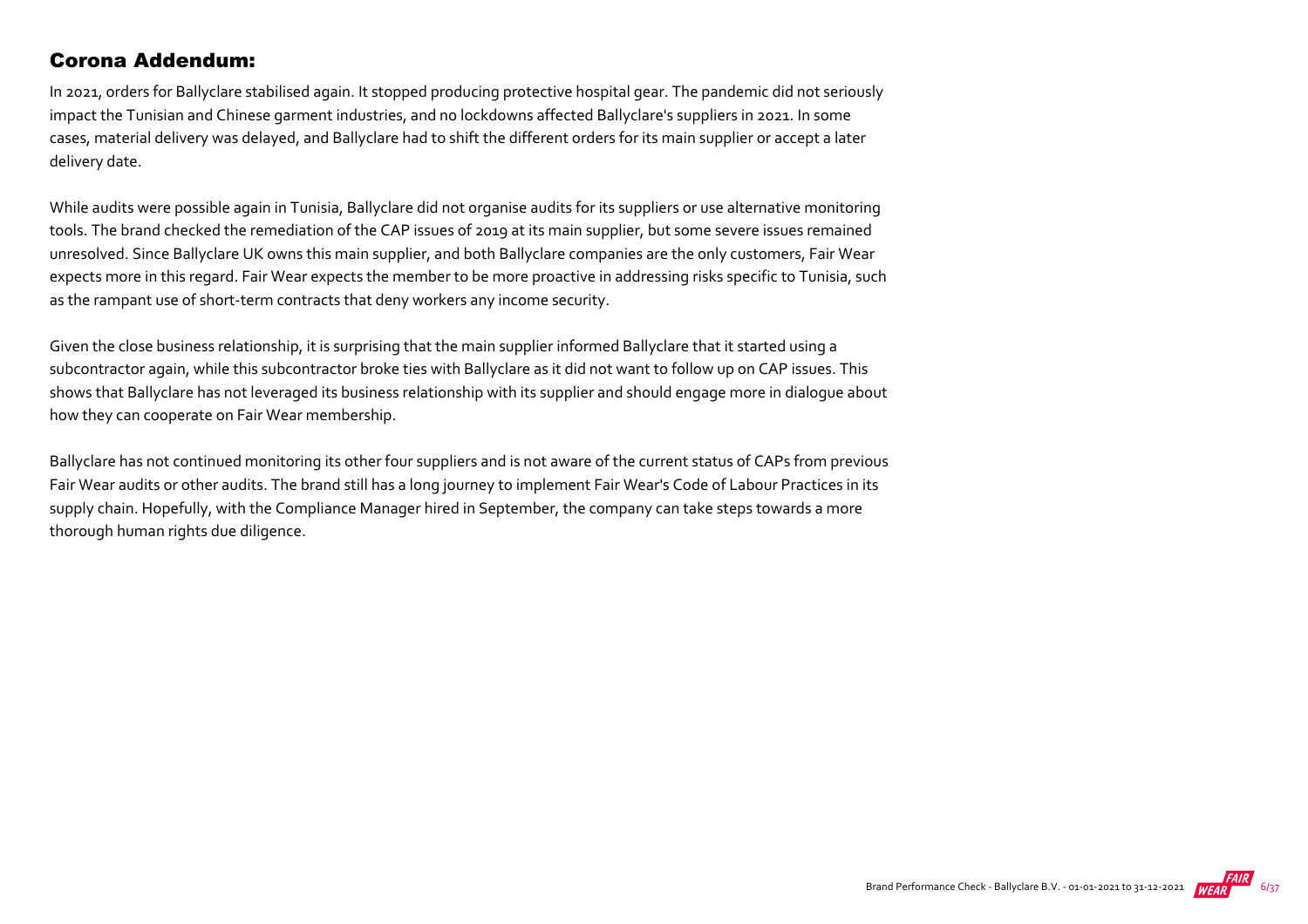#### Corona Addendum:

In 2021, orders for Ballyclare stabilised again. It stopped producing protective hospital gear. The pandemic did not seriously impact the Tunisian and Chinese garment industries, and no lockdowns affected Ballyclare's suppliers in 2021. In some cases, material delivery was delayed, and Ballyclare had to shift the different orders for its main supplier or accept a later delivery date.

While audits were possible again in Tunisia, Ballyclare did not organise audits for its suppliers or use alternative monitoring tools. The brand checked the remediation of the CAP issues of 2019 at its main supplier, but some severe issues remained unresolved. Since Ballyclare UK owns this main supplier, and both Ballyclare companies are the only customers, Fair Wear expects more in this regard. Fair Wear expects the member to be more proactive in addressing risks specific to Tunisia, such as the rampant use of short-term contracts that deny workers any income security.

Given the close business relationship, it is surprising that the main supplier informed Ballyclare that it started using a subcontractor again, while this subcontractor broke ties with Ballyclare as it did not want to follow up on CAP issues. This shows that Ballyclare has not leveraged its business relationship with its supplier and should engage more in dialogue about how they can cooperate on Fair Wear membership.

Ballyclare has not continued monitoring its other four suppliers and is not aware of the current status of CAPs from previous Fair Wear audits or other audits. The brand still has a long journey to implement Fair Wear's Code of Labour Practices in its supply chain. Hopefully, with the Compliance Manager hired in September, the company can take steps towards a more thorough human rights due diligence.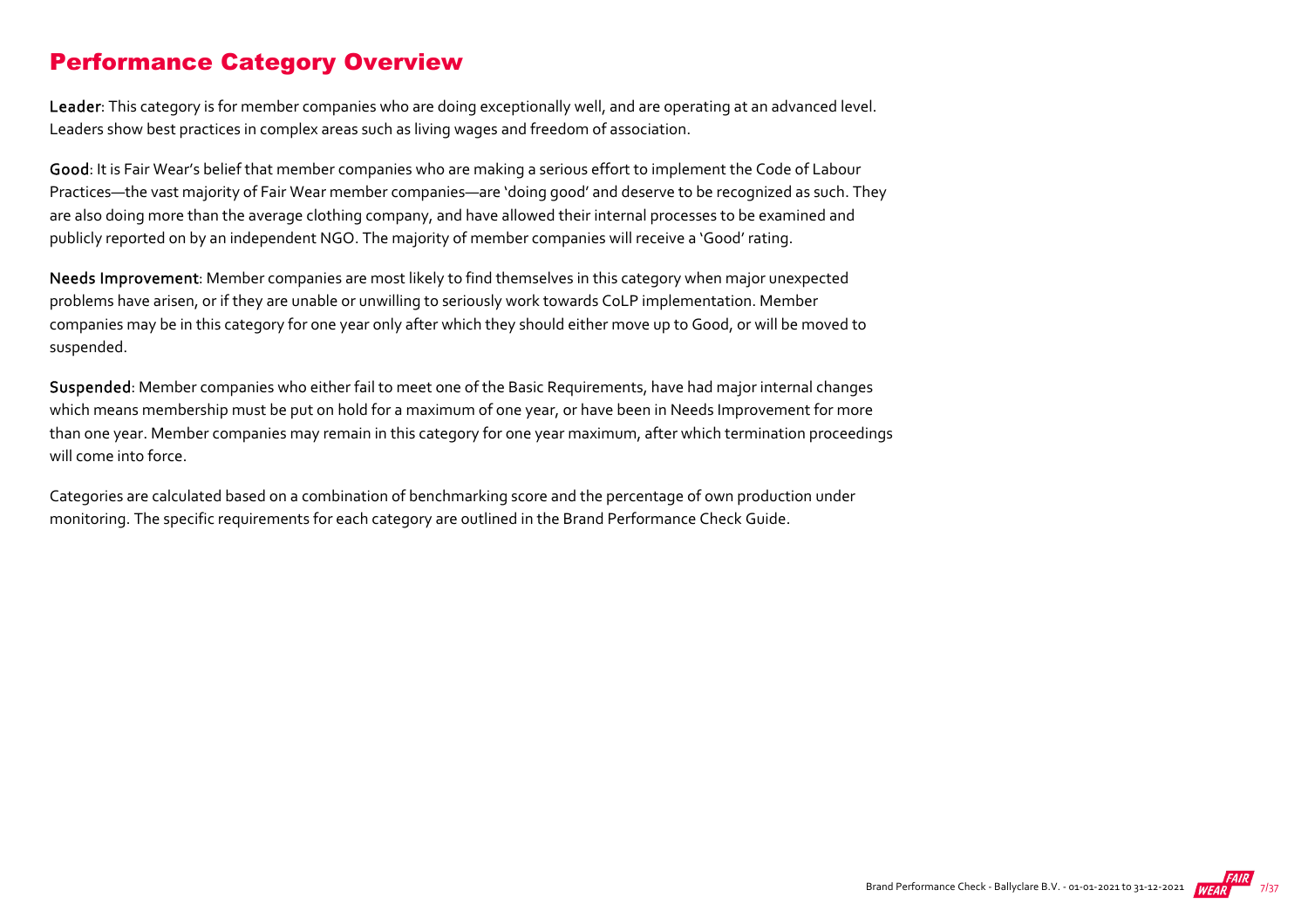#### Performance Category Overview

Leader: This category is for member companies who are doing exceptionally well, and are operating at an advanced level. Leaders show best practices in complex areas such as living wages and freedom of association.

Good: It is Fair Wear's belief that member companies who are making a serious effort to implement the Code of Labour Practices—the vast majority of Fair Wear member companies—are 'doing good' and deserve to be recognized as such. They are also doing more than the average clothing company, and have allowed their internal processes to be examined and publicly reported on by an independent NGO. The majority of member companies will receive a 'Good' rating.

Needs Improvement: Member companies are most likely to find themselves in this category when major unexpected problems have arisen, or if they are unable or unwilling to seriously work towards CoLP implementation. Member companies may be in this category for one year only after which they should either move up to Good, or will be moved to suspended.

Suspended: Member companies who either fail to meet one of the Basic Requirements, have had major internal changes which means membership must be put on hold for a maximum of one year, or have been in Needs Improvement for more than one year. Member companies may remain in this category for one year maximum, after which termination proceedings will come into force.

Categories are calculated based on a combination of benchmarking score and the percentage of own production under monitoring. The specific requirements for each category are outlined in the Brand Performance Check Guide.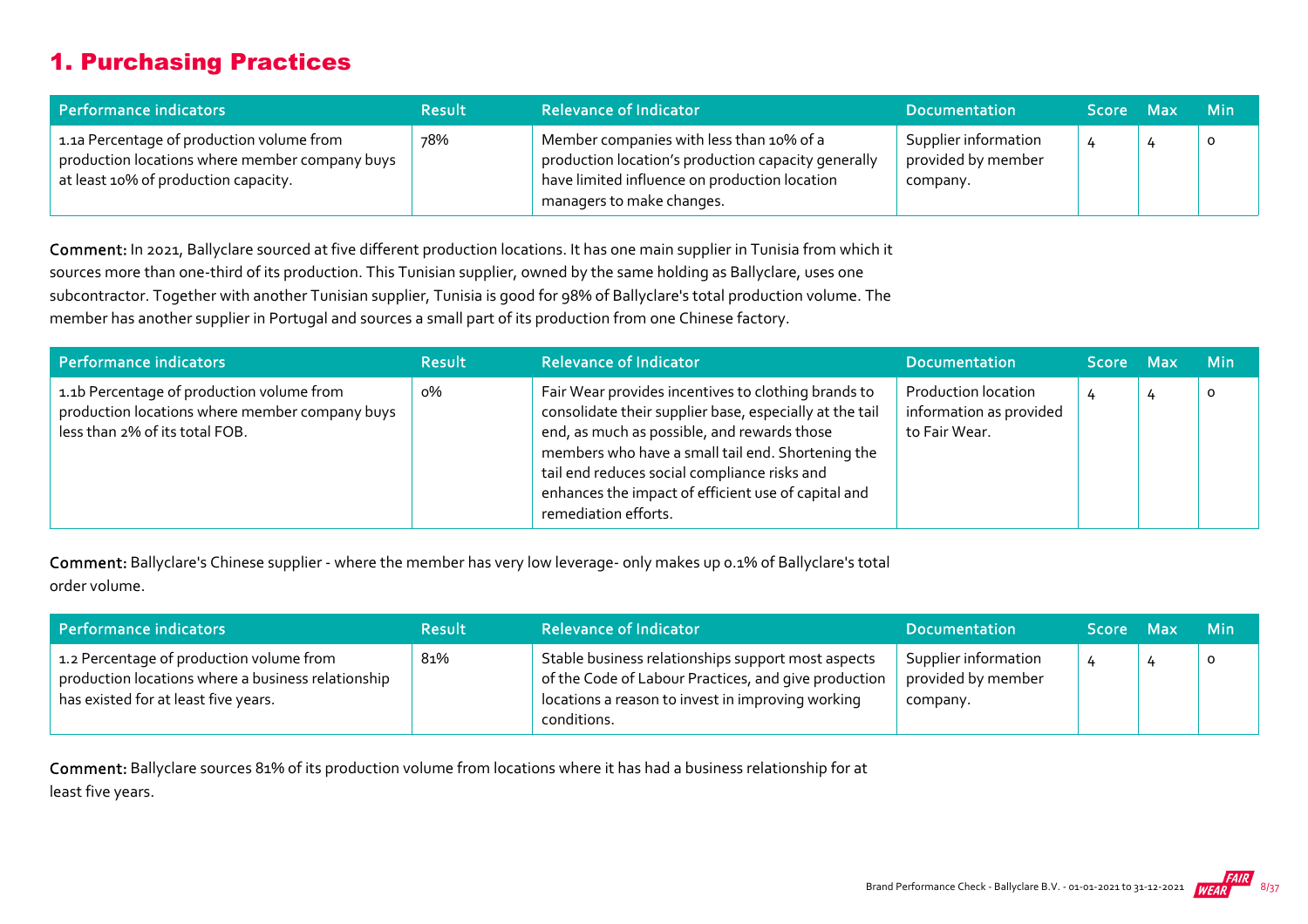## 1. Purchasing Practices

| Performance indicators                                                                                                              | <b>Result</b> | <b>Relevance of Indicator</b>                                                                                                                                                 | <b>Documentation</b>                                   | Score Max | <b>Min</b> |
|-------------------------------------------------------------------------------------------------------------------------------------|---------------|-------------------------------------------------------------------------------------------------------------------------------------------------------------------------------|--------------------------------------------------------|-----------|------------|
| 1.1a Percentage of production volume from<br>production locations where member company buys<br>at least 10% of production capacity. | 78%           | Member companies with less than 10% of a<br>production location's production capacity generally<br>have limited influence on production location<br>managers to make changes. | Supplier information<br>provided by member<br>company. |           | $\circ$    |

Comment: In 2021, Ballyclare sourced at five different production locations. It has one main supplier in Tunisia from which it sources more than one-third of its production. This Tunisian supplier, owned by the same holding as Ballyclare, uses one subcontractor. Together with another Tunisian supplier, Tunisia is good for 98% of Ballyclare's total production volume. The member has another supplier in Portugal and sources a small part of its production from one Chinese factory.

| Performance indicators                                                                                                        | <b>Result</b> | <b>Relevance of Indicator</b>                                                                                                                                                                                                                                                                                                                     | <b>Documentation</b>                                                   | Score Max | <b>Min</b> |
|-------------------------------------------------------------------------------------------------------------------------------|---------------|---------------------------------------------------------------------------------------------------------------------------------------------------------------------------------------------------------------------------------------------------------------------------------------------------------------------------------------------------|------------------------------------------------------------------------|-----------|------------|
| 1.1b Percentage of production volume from<br>production locations where member company buys<br>less than 2% of its total FOB. | o%            | Fair Wear provides incentives to clothing brands to<br>consolidate their supplier base, especially at the tail<br>end, as much as possible, and rewards those<br>members who have a small tail end. Shortening the<br>tail end reduces social compliance risks and<br>enhances the impact of efficient use of capital and<br>remediation efforts. | <b>Production location</b><br>information as provided<br>to Fair Wear. |           | $\circ$    |

Comment: Ballyclare's Chinese supplier ‐ where the member has very low leverage‐ only makes up 0.1% of Ballyclare's total order volume.

| Performance indicators                                                                                                                 | <b>Result</b> | <b>Relevance of Indicator</b>                                                                                                                                                  | <b>Documentation</b>                                   | Score Max | <b>Min</b> |
|----------------------------------------------------------------------------------------------------------------------------------------|---------------|--------------------------------------------------------------------------------------------------------------------------------------------------------------------------------|--------------------------------------------------------|-----------|------------|
| 1.2 Percentage of production volume from<br>production locations where a business relationship<br>has existed for at least five years. | 81%           | Stable business relationships support most aspects<br>of the Code of Labour Practices, and give production<br>locations a reason to invest in improving working<br>conditions. | Supplier information<br>provided by member<br>company. | 4         |            |

Comment: Ballyclare sources 81% of its production volume from locations where it has had a business relationship for at least five years.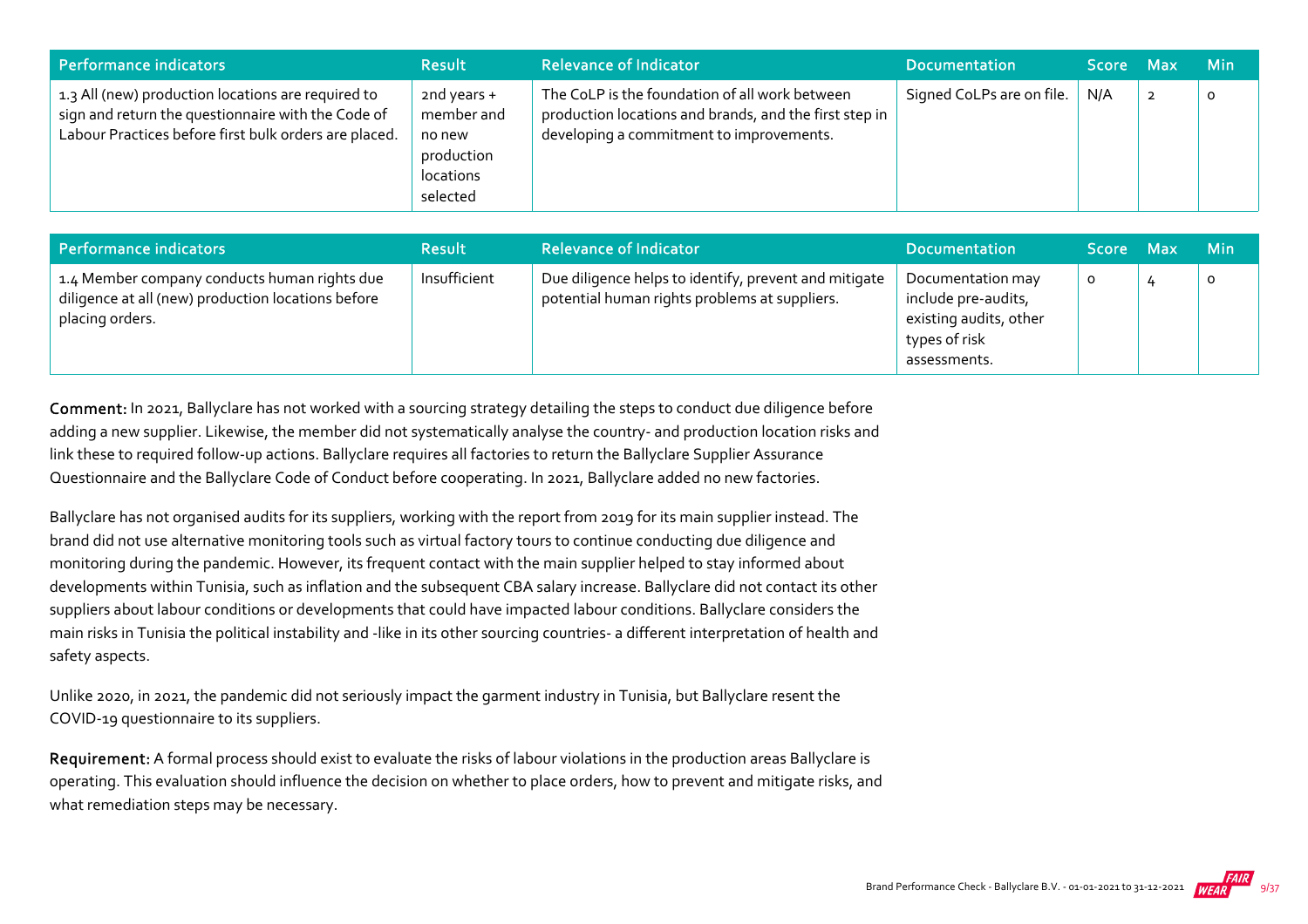| Performance indicators                                                                                                                                            | <b>Result</b>                                                                | <b>Relevance of Indicator</b>                                                                                                                        | <b>Documentation</b>      | Score Max |             | <b>Min</b> |
|-------------------------------------------------------------------------------------------------------------------------------------------------------------------|------------------------------------------------------------------------------|------------------------------------------------------------------------------------------------------------------------------------------------------|---------------------------|-----------|-------------|------------|
| 1.3 All (new) production locations are required to<br>sign and return the questionnaire with the Code of<br>Labour Practices before first bulk orders are placed. | 2nd years $+$<br>member and<br>no new<br>production<br>locations<br>selected | The CoLP is the foundation of all work between<br>production locations and brands, and the first step in<br>developing a commitment to improvements. | Signed CoLPs are on file. | N/A       | $\mathbf 2$ | 0          |

| Performance indicators                                                                                                | <b>Result</b> | <b>Relevance of Indicator</b>                                                                          | <b>Documentation</b>                                                                                | Score Max | <b>Min</b> |
|-----------------------------------------------------------------------------------------------------------------------|---------------|--------------------------------------------------------------------------------------------------------|-----------------------------------------------------------------------------------------------------|-----------|------------|
| 1.4 Member company conducts human rights due<br>diligence at all (new) production locations before<br>placing orders. | Insufficient  | Due diligence helps to identify, prevent and mitigate<br>potential human rights problems at suppliers. | Documentation may<br>include pre-audits,<br>existing audits, other<br>types of risk<br>assessments. | O         | $\circ$    |

Comment: In 2021, Ballyclare has not worked with a sourcing strategy detailing the steps to conduct due diligence before adding a new supplier. Likewise, the member did not systematically analyse the country‐ and production location risks and link these to required follow‐up actions. Ballyclare requires all factories to return the Ballyclare Supplier Assurance Questionnaire and the Ballyclare Code of Conduct before cooperating. In 2021, Ballyclare added no new factories.

Ballyclare has not organised audits for its suppliers, working with the report from 2019 for its main supplier instead. The brand did not use alternative monitoring tools such as virtual factory tours to continue conducting due diligence and monitoring during the pandemic. However, its frequent contact with the main supplier helped to stay informed about developments within Tunisia, such as inflation and the subsequent CBA salary increase. Ballyclare did not contact its other suppliers about labour conditions or developments that could have impacted labour conditions. Ballyclare considers the main risks in Tunisia the political instability and ‐like in its other sourcing countries‐ a different interpretation of health and safety aspects.

Unlike 2020, in 2021, the pandemic did not seriously impact the garment industry in Tunisia, but Ballyclare resent the COVID‐19 questionnaire to its suppliers.

Requirement: A formal process should exist to evaluate the risks of labour violations in the production areas Ballyclare is operating. This evaluation should influence the decision on whether to place orders, how to prevent and mitigate risks, and what remediation steps may be necessary.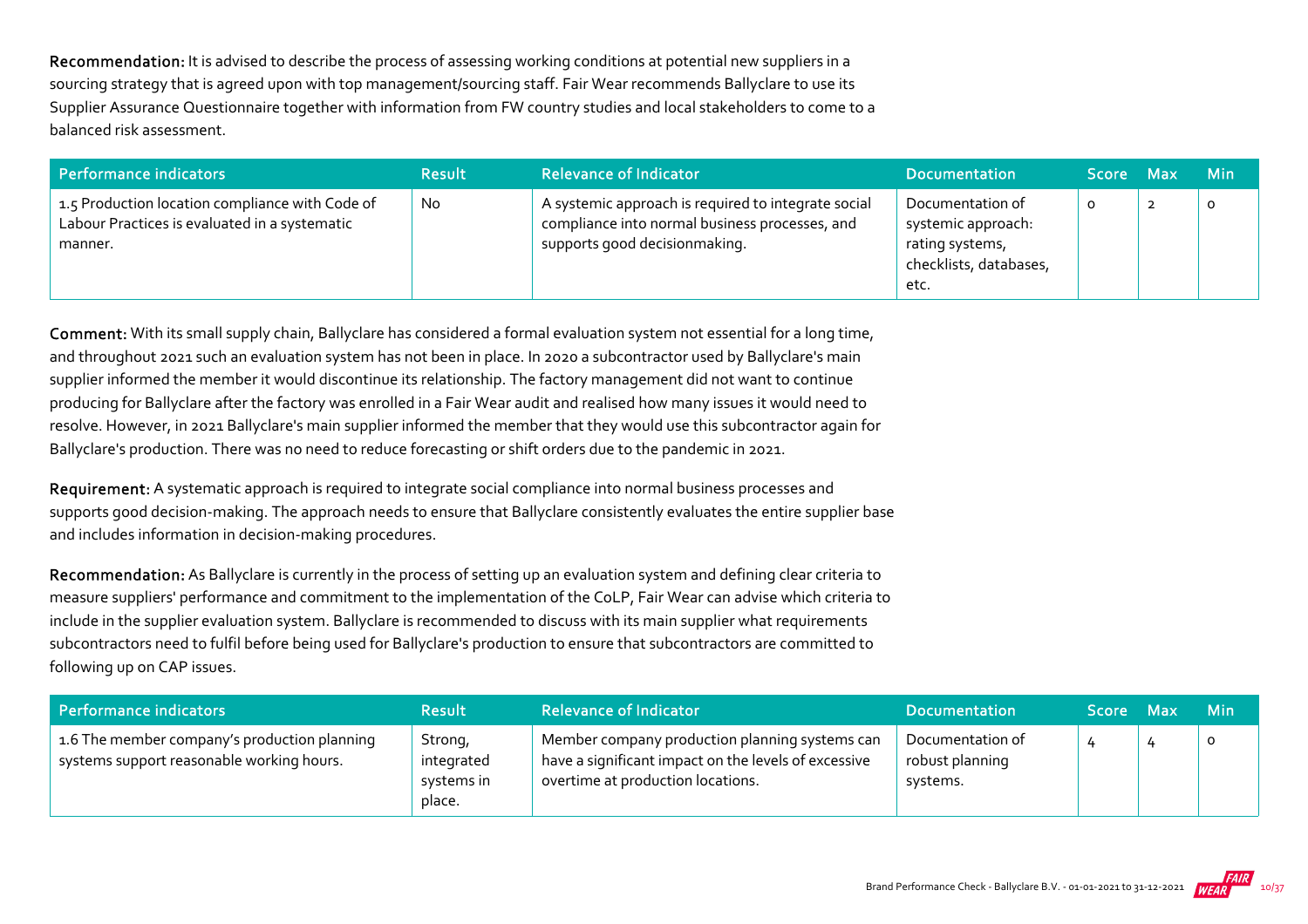Recommendation: It is advised to describe the process of assessing working conditions at potential new suppliers in a sourcing strategy that is agreed upon with top management/sourcing staff. Fair Wear recommends Ballyclare to use its Supplier Assurance Questionnaire together with information from FW country studies and local stakeholders to come to a balanced risk assessment.

| Performance indicators                                                                                      | <b>Result</b> | <b>Relevance of Indicator</b>                                                                                                          | <b>Documentation</b>                                                                        | <b>Score</b> | <b>Max</b> | <b>Min</b> |
|-------------------------------------------------------------------------------------------------------------|---------------|----------------------------------------------------------------------------------------------------------------------------------------|---------------------------------------------------------------------------------------------|--------------|------------|------------|
| 1.5 Production location compliance with Code of<br>Labour Practices is evaluated in a systematic<br>manner. | <b>No</b>     | A systemic approach is required to integrate social<br>compliance into normal business processes, and<br>supports good decisionmaking. | Documentation of<br>systemic approach:<br>rating systems,<br>checklists, databases,<br>etc. | o            |            |            |

Comment: With its small supply chain, Ballyclare has considered a formal evaluation system not essential for a long time, and throughout 2021 such an evaluation system has not been in place. In 2020 a subcontractor used by Ballyclare's main supplier informed the member it would discontinue its relationship. The factory management did not want to continue producing for Ballyclare after the factory was enrolled in a Fair Wear audit and realised how many issues it would need to resolve. However, in 2021 Ballyclare's main supplier informed the member that they would use this subcontractor again for Ballyclare's production. There was no need to reduce forecasting or shift orders due to the pandemic in 2021.

Requirement: A systematic approach is required to integrate social compliance into normal business processes and supports good decision‐making. The approach needs to ensure that Ballyclare consistently evaluates the entire supplier base and includes information in decision‐making procedures.

Recommendation: As Ballyclare is currently in the process of setting up an evaluation system and defining clear criteria to measure suppliers' performance and commitment to the implementation of the CoLP, Fair Wear can advise which criteria to include in the supplier evaluation system. Ballyclare is recommended to discuss with its main supplier what requirements subcontractors need to fulfil before being used for Ballyclare's production to ensure that subcontractors are committed to following up on CAP issues.

| Performance indicators                                                                    | <b>Result</b>                                 | <b>Relevance of Indicator</b>                                                                                                               | <b>Documentation</b>                            | <b>Score</b> | Max | <b>Min</b> |
|-------------------------------------------------------------------------------------------|-----------------------------------------------|---------------------------------------------------------------------------------------------------------------------------------------------|-------------------------------------------------|--------------|-----|------------|
| 1.6 The member company's production planning<br>systems support reasonable working hours. | Strong,<br>integrated<br>systems in<br>place. | Member company production planning systems can<br>have a significant impact on the levels of excessive<br>overtime at production locations. | Documentation of<br>robust planning<br>systems. |              |     | 0          |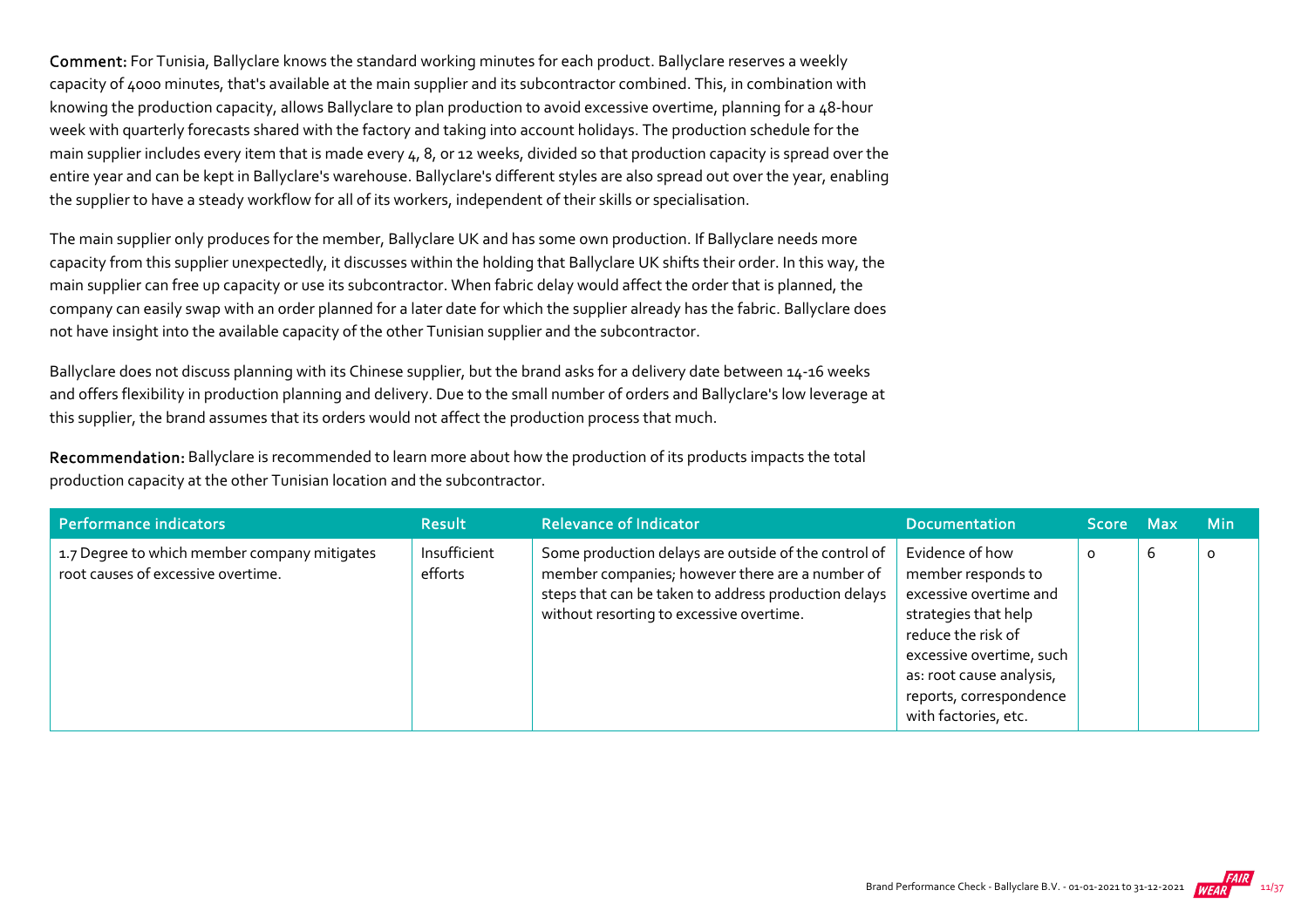Comment: For Tunisia, Ballyclare knows the standard working minutes for each product. Ballyclare reserves a weekly capacity of 4000 minutes, that's available at the main supplier and its subcontractor combined. This, in combination with knowing the production capacity, allows Ballyclare to plan production to avoid excessive overtime, planning for a 48‐hour week with quarterly forecasts shared with the factory and taking into account holidays. The production schedule for the main supplier includes every item that is made every 4, 8, or 12 weeks, divided so that production capacity is spread over the entire year and can be kept in Ballyclare's warehouse. Ballyclare's different styles are also spread out over the year, enabling the supplier to have a steady workflow for all of its workers, independent of their skills or specialisation.

The main supplier only produces for the member, Ballyclare UK and has some own production. If Ballyclare needs more capacity from this supplier unexpectedly, it discusses within the holding that Ballyclare UK shifts their order. In this way, the main supplier can free up capacity or use its subcontractor. When fabric delay would affect the order that is planned, the company can easily swap with an order planned for a later date for which the supplier already has the fabric. Ballyclare does not have insight into the available capacity of the other Tunisian supplier and the subcontractor.

Ballyclare does not discuss planning with its Chinese supplier, but the brand asks for a delivery date between 14‐16 weeks and offers flexibility in production planning and delivery. Due to the small number of orders and Ballyclare's low leverage at this supplier, the brand assumes that its orders would not affect the production process that much.

Recommendation: Ballyclare is recommended to learn more about how the production of its products impacts the total production capacity at the other Tunisian location and the subcontractor.

| Performance indicators                                                             | <b>Result</b>           | <b>Relevance of Indicator</b>                                                                                                                                                                               | <b>Documentation</b>                                                                                                                                                                                                     | Score Max |   | <b>Min</b> |
|------------------------------------------------------------------------------------|-------------------------|-------------------------------------------------------------------------------------------------------------------------------------------------------------------------------------------------------------|--------------------------------------------------------------------------------------------------------------------------------------------------------------------------------------------------------------------------|-----------|---|------------|
| 1.7 Degree to which member company mitigates<br>root causes of excessive overtime. | Insufficient<br>efforts | Some production delays are outside of the control of<br>member companies; however there are a number of<br>steps that can be taken to address production delays<br>without resorting to excessive overtime. | Evidence of how<br>member responds to<br>excessive overtime and<br>strategies that help<br>reduce the risk of<br>excessive overtime, such<br>as: root cause analysis,<br>reports, correspondence<br>with factories, etc. | $\circ$   | 6 | $\circ$    |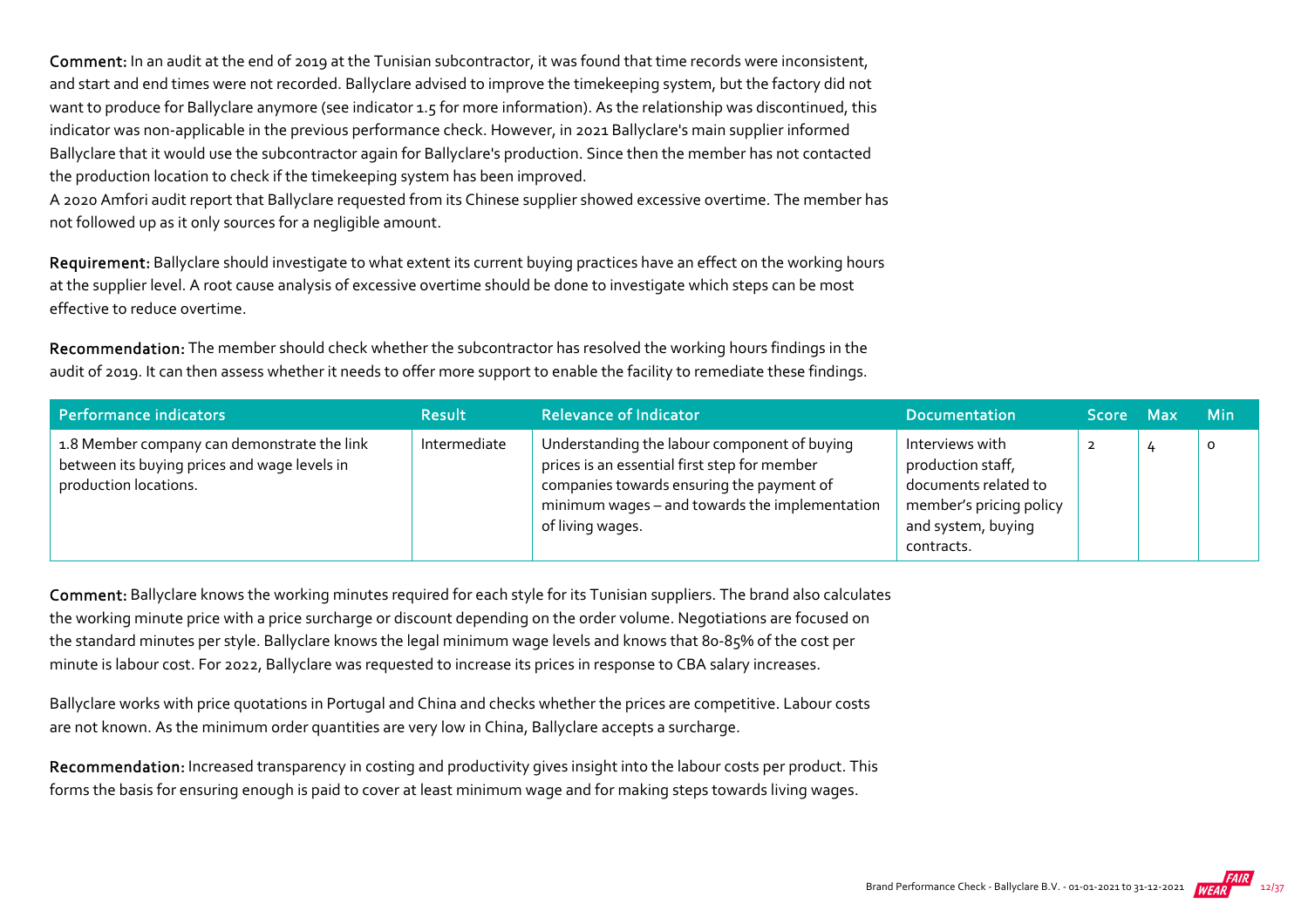Comment: In an audit at the end of 2019 at the Tunisian subcontractor, it was found that time records were inconsistent, and start and end times were not recorded. Ballyclare advised to improve the timekeeping system, but the factory did not want to produce for Ballyclare anymore (see indicator 1.5 for more information). As the relationship was discontinued, this indicator was non-applicable in the previous performance check. However, in 2021 Ballyclare's main supplier informed Ballyclare that it would use the subcontractor again for Ballyclare's production. Since then the member has not contacted the production location to check if the timekeeping system has been improved.

A 2020 Amfori audit report that Ballyclare requested from its Chinese supplier showed excessive overtime. The member has not followed up as it only sources for a negligible amount.

Requirement: Ballyclare should investigate to what extent its current buying practices have an effect on the working hours at the supplier level. A root cause analysis of excessive overtime should be done to investigate which steps can be most effective to reduce overtime.

Recommendation: The member should check whether the subcontractor has resolved the working hours findings in the audit of 2019. It can then assess whether it needs to offer more support to enable the facility to remediate these findings.

| Performance indicators                                                                                               | <b>Result</b> | <b>Relevance of Indicator</b>                                                                                                                                                                                   | <b>Documentation</b>                                                                                                        | Score Max | <b>Min</b> |
|----------------------------------------------------------------------------------------------------------------------|---------------|-----------------------------------------------------------------------------------------------------------------------------------------------------------------------------------------------------------------|-----------------------------------------------------------------------------------------------------------------------------|-----------|------------|
| 1.8 Member company can demonstrate the link<br>between its buying prices and wage levels in<br>production locations. | Intermediate  | Understanding the labour component of buying<br>prices is an essential first step for member<br>companies towards ensuring the payment of<br>minimum wages - and towards the implementation<br>of living wages. | Interviews with<br>production staff,<br>documents related to<br>member's pricing policy<br>and system, buying<br>contracts. |           | $\circ$    |

Comment: Ballyclare knows the working minutes required for each style for its Tunisian suppliers. The brand also calculates the working minute price with a price surcharge or discount depending on the order volume. Negotiations are focused on the standard minutes per style. Ballyclare knows the legal minimum wage levels and knows that 80‐85% of the cost per minute is labour cost. For 2022, Ballyclare was requested to increase its prices in response to CBA salary increases.

Ballyclare works with price quotations in Portugal and China and checks whether the prices are competitive. Labour costs are not known. As the minimum order quantities are very low in China, Ballyclare accepts a surcharge.

Recommendation: Increased transparency in costing and productivity gives insight into the labour costs per product. This forms the basis for ensuring enough is paid to cover at least minimum wage and for making steps towards living wages.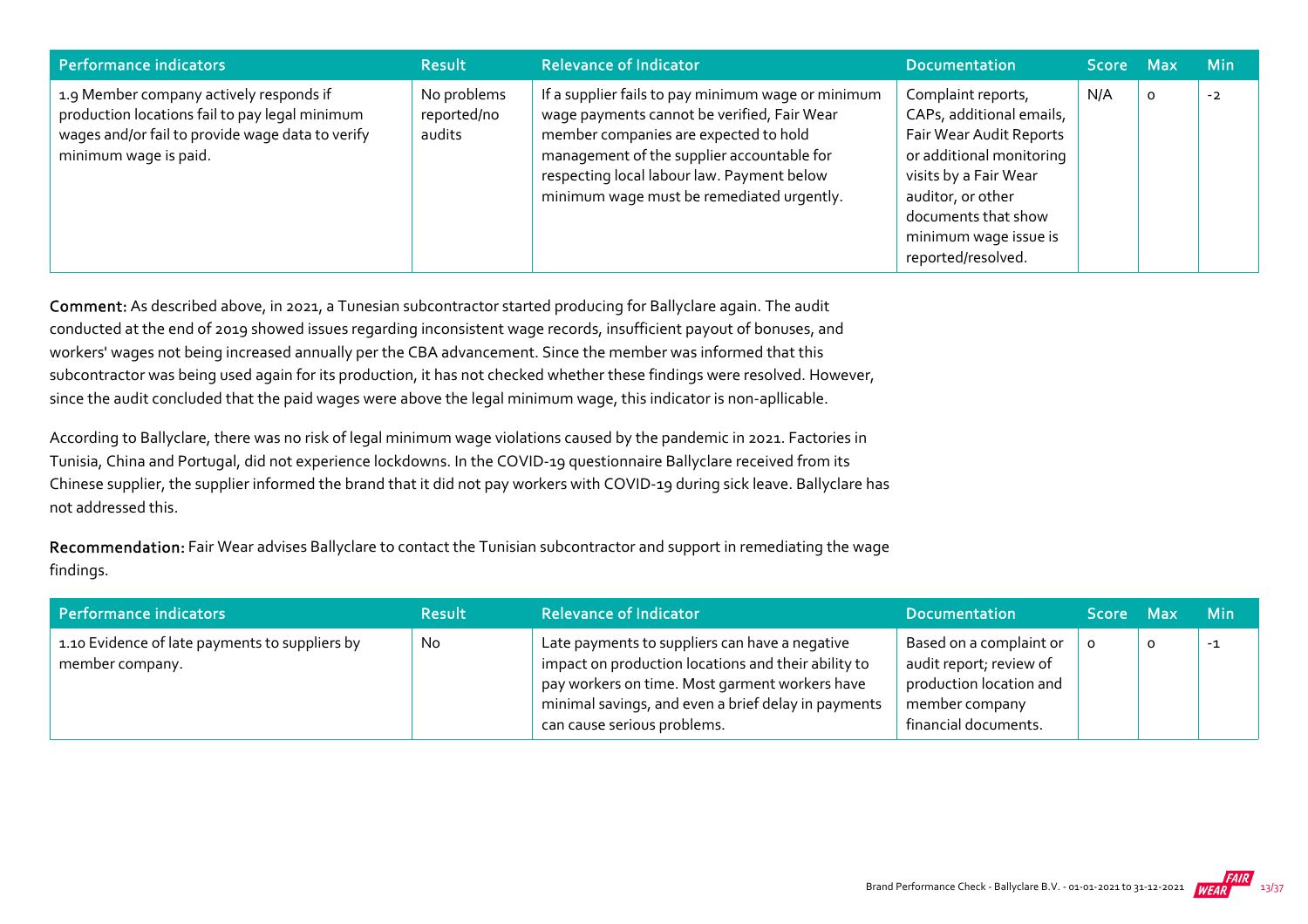| Performance indicators                                                                                                                                                 | <b>Result</b>                        | <b>Relevance of Indicator</b>                                                                                                                                                                                                                                                       | <b>Documentation</b>                                                                                                                                                                                                      | Score Max |         | <b>Min</b> |
|------------------------------------------------------------------------------------------------------------------------------------------------------------------------|--------------------------------------|-------------------------------------------------------------------------------------------------------------------------------------------------------------------------------------------------------------------------------------------------------------------------------------|---------------------------------------------------------------------------------------------------------------------------------------------------------------------------------------------------------------------------|-----------|---------|------------|
| 1.9 Member company actively responds if<br>production locations fail to pay legal minimum<br>wages and/or fail to provide wage data to verify<br>minimum wage is paid. | No problems<br>reported/no<br>audits | If a supplier fails to pay minimum wage or minimum<br>wage payments cannot be verified, Fair Wear<br>member companies are expected to hold<br>management of the supplier accountable for<br>respecting local labour law. Payment below<br>minimum wage must be remediated urgently. | Complaint reports,<br>CAPs, additional emails,<br>Fair Wear Audit Reports<br>or additional monitoring<br>visits by a Fair Wear<br>auditor, or other<br>documents that show<br>minimum wage issue is<br>reported/resolved. | N/A       | $\circ$ | $-2$       |

Comment: As described above, in 2021, a Tunesian subcontractor started producing for Ballyclare again. The audit conducted at the end of 2019 showed issues regarding inconsistent wage records, insufficient payout of bonuses, and workers' wages not being increased annually per the CBA advancement. Since the member was informed that this subcontractor was being used again for its production, it has not checked whether these findings were resolved. However, since the audit concluded that the paid wages were above the legal minimum wage, this indicator is non-apllicable.

According to Ballyclare, there was no risk of legal minimum wage violations caused by the pandemic in 2021. Factories in Tunisia, China and Portugal, did not experience lockdowns. In the COVID‐19 questionnaire Ballyclare received from its Chinese supplier, the supplier informed the brand that it did not pay workers with COVID‐19 during sick leave. Ballyclare has not addressed this.

Recommendation: Fair Wear advises Ballyclare to contact the Tunisian subcontractor and support in remediating the wage findings.

| Performance indicators                                            | <b>Result</b> | <b>Relevance of Indicator</b>                                                                                                                                                                                                                 | <b>Documentation</b>                                                                                                    | Score Max |   | <b>Min</b> |
|-------------------------------------------------------------------|---------------|-----------------------------------------------------------------------------------------------------------------------------------------------------------------------------------------------------------------------------------------------|-------------------------------------------------------------------------------------------------------------------------|-----------|---|------------|
| 1.10 Evidence of late payments to suppliers by<br>member company. | No            | Late payments to suppliers can have a negative<br>impact on production locations and their ability to<br>pay workers on time. Most garment workers have<br>minimal savings, and even a brief delay in payments<br>can cause serious problems. | Based on a complaint or<br>audit report; review of<br>production location and<br>member company<br>financial documents. |           | 0 | $-1$       |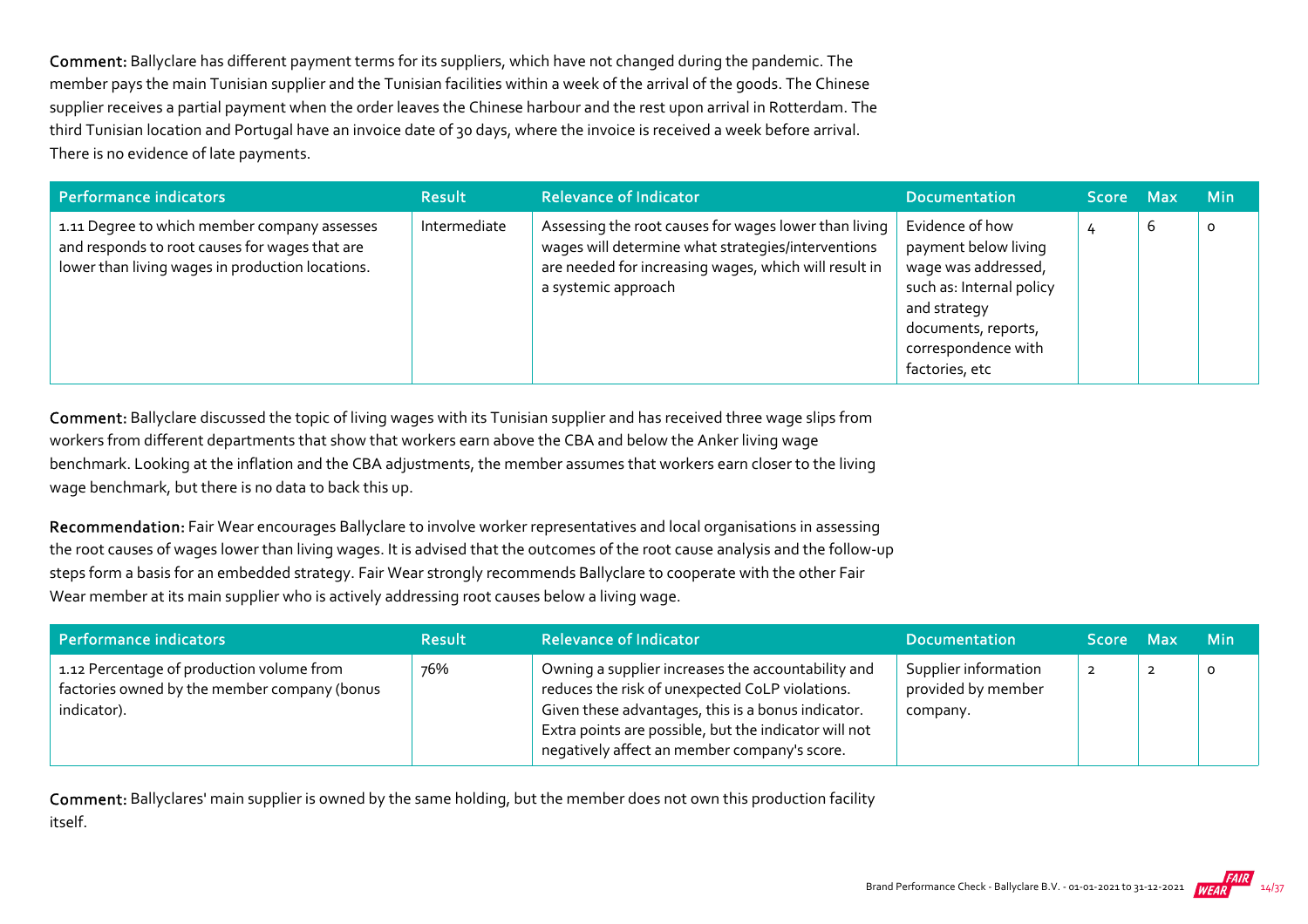Comment: Ballyclare has different payment terms for its suppliers, which have not changed during the pandemic. The member pays the main Tunisian supplier and the Tunisian facilities within a week of the arrival of the goods. The Chinese supplier receives a partial payment when the order leaves the Chinese harbour and the rest upon arrival in Rotterdam. The third Tunisian location and Portugal have an invoice date of 30 days, where the invoice is received a week before arrival. There is no evidence of late payments.

| Performance indicators                                                                                                                             | <b>Result</b> | <b>Relevance of Indicator</b>                                                                                                                                                               | <b>Documentation</b>                                                                                                                                                       | Score Max |   | <b>Min</b> |
|----------------------------------------------------------------------------------------------------------------------------------------------------|---------------|---------------------------------------------------------------------------------------------------------------------------------------------------------------------------------------------|----------------------------------------------------------------------------------------------------------------------------------------------------------------------------|-----------|---|------------|
| 1.11 Degree to which member company assesses<br>and responds to root causes for wages that are<br>lower than living wages in production locations. | Intermediate  | Assessing the root causes for wages lower than living<br>wages will determine what strategies/interventions<br>are needed for increasing wages, which will result in<br>a systemic approach | Evidence of how<br>payment below living<br>wage was addressed,<br>such as: Internal policy<br>and strategy<br>documents, reports,<br>correspondence with<br>factories, etc |           | 6 | $\circ$    |

Comment: Ballyclare discussed the topic of living wages with its Tunisian supplier and has received three wage slips from workers from different departments that show that workers earn above the CBA and below the Anker living wage benchmark. Looking at the inflation and the CBA adjustments, the member assumes that workers earn closer to the living wage benchmark, but there is no data to back this up.

Recommendation: Fair Wear encourages Ballyclare to involve worker representatives and local organisations in assessing the root causes of wages lower than living wages. It is advised that the outcomes of the root cause analysis and the follow‐up steps form a basis for an embedded strategy. Fair Wear strongly recommends Ballyclare to cooperate with the other Fair Wear member at its main supplier who is actively addressing root causes below a living wage.

| Performance indicators                                                                                   | <b>Result</b> | <b>Relevance of Indicator</b>                                                                                                                                                                                                                                        | <b>Documentation</b>                                   | Score Max      | <b>Min</b> |
|----------------------------------------------------------------------------------------------------------|---------------|----------------------------------------------------------------------------------------------------------------------------------------------------------------------------------------------------------------------------------------------------------------------|--------------------------------------------------------|----------------|------------|
| 1.12 Percentage of production volume from<br>factories owned by the member company (bonus<br>indicator). | 76%           | Owning a supplier increases the accountability and<br>reduces the risk of unexpected CoLP violations.<br>Given these advantages, this is a bonus indicator.<br>Extra points are possible, but the indicator will not<br>negatively affect an member company's score. | Supplier information<br>provided by member<br>company. | $\overline{2}$ | $\circ$    |

Comment: Ballyclares' main supplier is owned by the same holding, but the member does not own this production facility itself.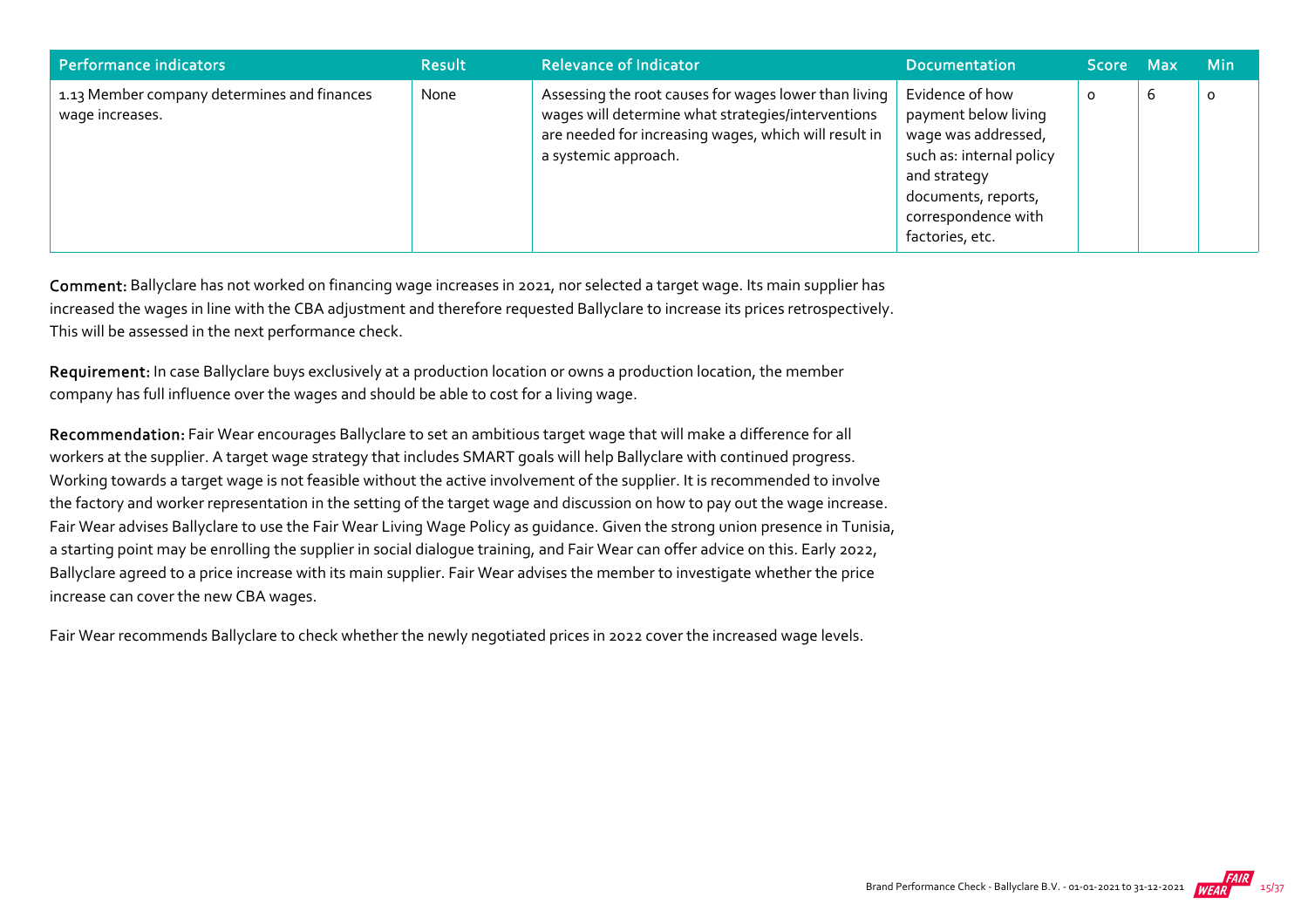| Performance indicators                                         | <b>Result</b> | <b>Relevance of Indicator</b>                                                                                                                                                                | <b>Documentation</b>                                                                                                                                                        | Score Max |   | <b>Min</b> |
|----------------------------------------------------------------|---------------|----------------------------------------------------------------------------------------------------------------------------------------------------------------------------------------------|-----------------------------------------------------------------------------------------------------------------------------------------------------------------------------|-----------|---|------------|
| 1.13 Member company determines and finances<br>wage increases. | None          | Assessing the root causes for wages lower than living<br>wages will determine what strategies/interventions<br>are needed for increasing wages, which will result in<br>a systemic approach. | Evidence of how<br>payment below living<br>wage was addressed,<br>such as: internal policy<br>and strategy<br>documents, reports,<br>correspondence with<br>factories, etc. |           | b | 0          |

Comment: Ballyclare has not worked on financing wage increases in 2021, nor selected a target wage. Its main supplier has increased the wages in line with the CBA adjustment and therefore requested Ballyclare to increase its prices retrospectively. This will be assessed in the next performance check.

Requirement: In case Ballyclare buys exclusively at a production location or owns a production location, the member company has full influence over the wages and should be able to cost for a living wage.

Recommendation: Fair Wear encourages Ballyclare to set an ambitious target wage that will make a difference for all workers at the supplier. A target wage strategy that includes SMART goals will help Ballyclare with continued progress. Working towards a target wage is not feasible without the active involvement of the supplier. It is recommended to involve the factory and worker representation in the setting of the target wage and discussion on how to pay out the wage increase. Fair Wear advises Ballyclare to use the Fair Wear Living Wage Policy as guidance. Given the strong union presence in Tunisia, a starting point may be enrolling the supplier in social dialogue training, and Fair Wear can offer advice on this. Early 2022, Ballyclare agreed to a price increase with its main supplier. Fair Wear advises the member to investigate whether the price increase can cover the new CBA wages.

Fair Wear recommends Ballyclare to check whether the newly negotiated prices in 2022 cover the increased wage levels.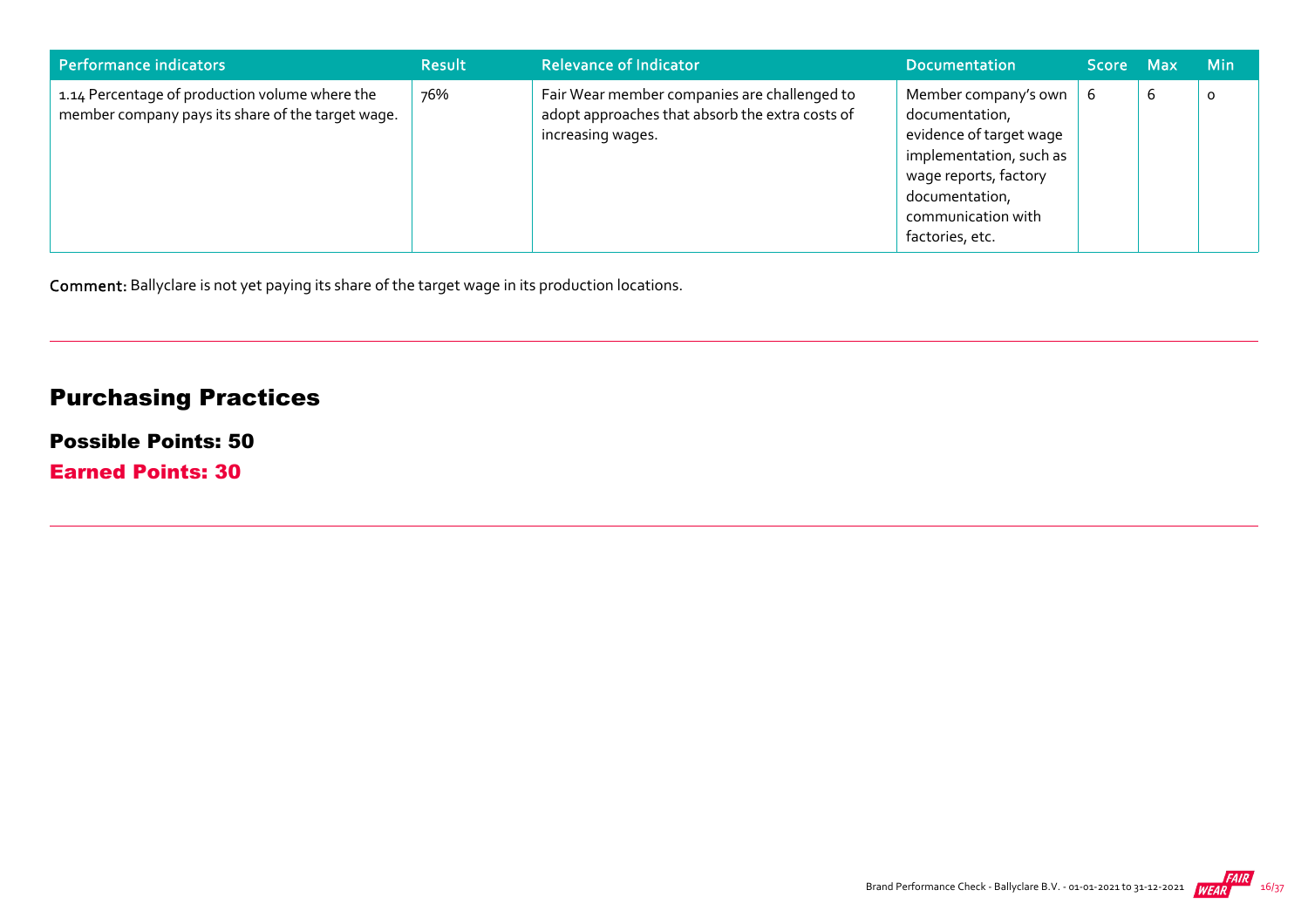| Performance indicators                                                                              | <b>Result</b> | <b>Relevance of Indicator</b>                                                                                        | <b>Documentation</b>                                                                                                                                                             | Score Max |   | <b>Min</b> |
|-----------------------------------------------------------------------------------------------------|---------------|----------------------------------------------------------------------------------------------------------------------|----------------------------------------------------------------------------------------------------------------------------------------------------------------------------------|-----------|---|------------|
| 1.14 Percentage of production volume where the<br>member company pays its share of the target wage. | 76%           | Fair Wear member companies are challenged to<br>adopt approaches that absorb the extra costs of<br>increasing wages. | Member company's own<br>documentation,<br>evidence of target wage<br>implementation, such as<br>wage reports, factory<br>documentation,<br>communication with<br>factories, etc. | -6        | b | $\circ$    |

Comment: Ballyclare is not yet paying its share of the target wage in its production locations.

## Purchasing Practices

#### Possible Points: 50

Earned Points: 30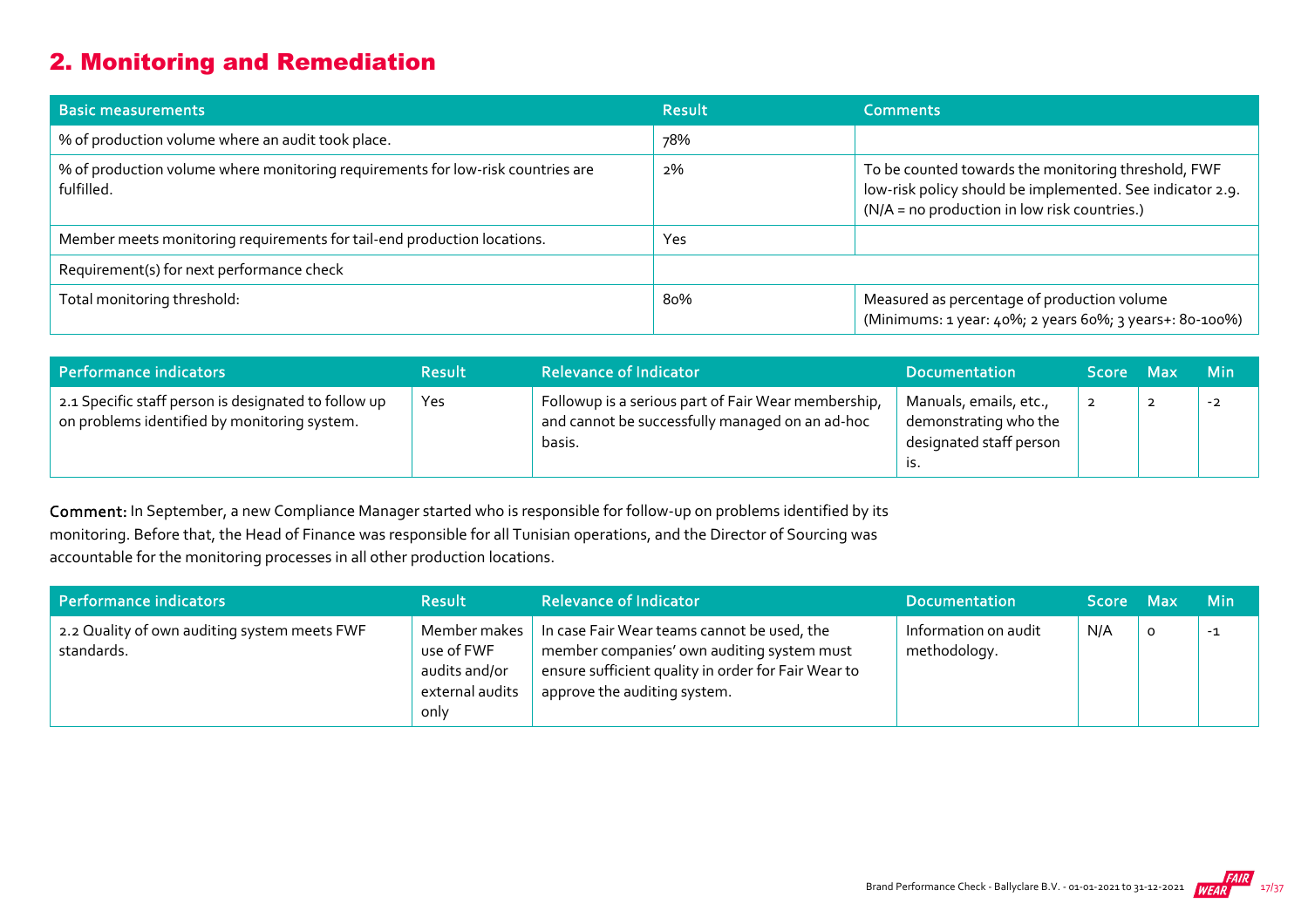## 2. Monitoring and Remediation

| <b>Basic measurements</b>                                                                     | Result | <b>Comments</b>                                                                                                                                                  |
|-----------------------------------------------------------------------------------------------|--------|------------------------------------------------------------------------------------------------------------------------------------------------------------------|
| % of production volume where an audit took place.                                             | 78%    |                                                                                                                                                                  |
| % of production volume where monitoring requirements for low-risk countries are<br>fulfilled. | 2%     | To be counted towards the monitoring threshold, FWF<br>low-risk policy should be implemented. See indicator 2.9.<br>(N/A = no production in low risk countries.) |
| Member meets monitoring requirements for tail-end production locations.                       | Yes    |                                                                                                                                                                  |
| Requirement(s) for next performance check                                                     |        |                                                                                                                                                                  |
| Total monitoring threshold:                                                                   | 80%    | Measured as percentage of production volume<br>(Minimums: 1 year: 40%; 2 years 60%; 3 years+: 80-100%)                                                           |

| Performance indicators                                                                               | <b>Result</b> | <b>Relevance of Indicator</b>                                                                                    | <b>Documentation</b>                                                              | Score Max | <b>Min</b> |
|------------------------------------------------------------------------------------------------------|---------------|------------------------------------------------------------------------------------------------------------------|-----------------------------------------------------------------------------------|-----------|------------|
| 2.1 Specific staff person is designated to follow up<br>on problems identified by monitoring system. | <b>Yes</b>    | Followup is a serious part of Fair Wear membership,<br>and cannot be successfully managed on an ad-hoc<br>basis. | Manuals, emails, etc.,<br>demonstrating who the<br>designated staff person<br>15. |           | $-2$       |

Comment: In September, a new Compliance Manager started who is responsible for follow-up on problems identified by its monitoring. Before that, the Head of Finance was responsible for all Tunisian operations, and the Director of Sourcing was accountable for the monitoring processes in all other production locations.

| Performance indicators                                     | <b>Result</b>                                                          | <b>Relevance of Indicator</b>                                                                                                                                                    | <b>Documentation</b>                 | Score Max |         | <b>Min</b> |
|------------------------------------------------------------|------------------------------------------------------------------------|----------------------------------------------------------------------------------------------------------------------------------------------------------------------------------|--------------------------------------|-----------|---------|------------|
| 2.2 Quality of own auditing system meets FWF<br>standards. | Member makes<br>use of FWF<br>audits and/or<br>external audits<br>only | In case Fair Wear teams cannot be used, the<br>member companies' own auditing system must<br>ensure sufficient quality in order for Fair Wear to<br>approve the auditing system. | Information on audit<br>methodology. | N/A       | $\circ$ | $-1$       |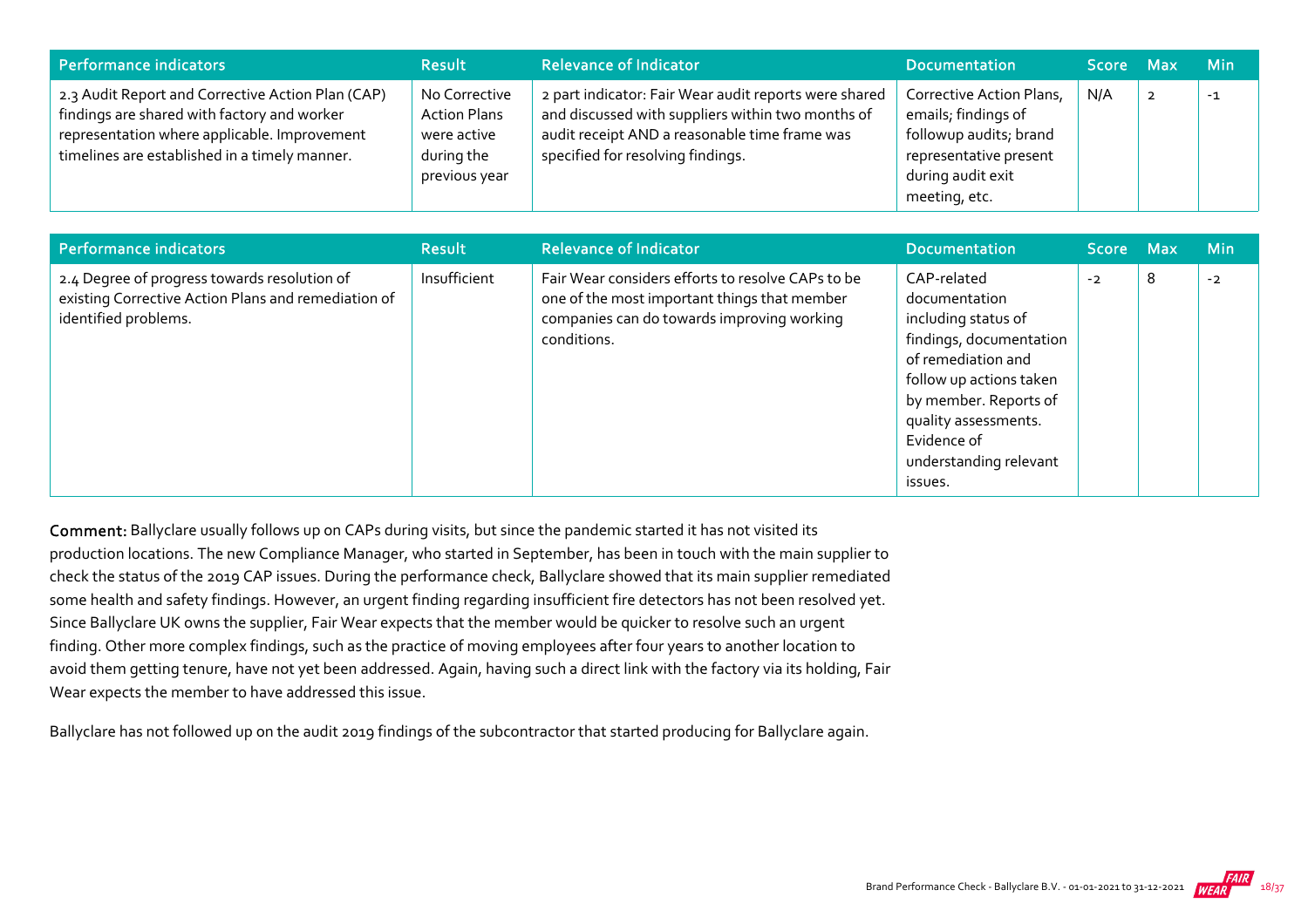| Performance indicators                                                                                                                                                                            | <b>Result</b>                                                                      | <b>Relevance of Indicator</b>                                                                                                                                                                    | <b>Documentation</b>                                                                                                                      | Score Max | <b>Min</b> |
|---------------------------------------------------------------------------------------------------------------------------------------------------------------------------------------------------|------------------------------------------------------------------------------------|--------------------------------------------------------------------------------------------------------------------------------------------------------------------------------------------------|-------------------------------------------------------------------------------------------------------------------------------------------|-----------|------------|
| 2.3 Audit Report and Corrective Action Plan (CAP)<br>findings are shared with factory and worker<br>representation where applicable. Improvement<br>timelines are established in a timely manner. | No Corrective<br><b>Action Plans</b><br>were active<br>during the<br>previous year | 2 part indicator: Fair Wear audit reports were shared<br>and discussed with suppliers within two months of<br>audit receipt AND a reasonable time frame was<br>specified for resolving findings. | Corrective Action Plans,<br>emails; findings of<br>followup audits; brand<br>representative present<br>during audit exit<br>meeting, etc. | N/A       | $-1$       |

| <b>Performance indicators</b>                                                                                               | <b>Result</b> | <b>Relevance of Indicator</b>                                                                                                                                  | <b>Documentation</b>                                                                                                                                                                                                                 | <b>Score</b> | <b>Max</b> | <b>Min</b> |
|-----------------------------------------------------------------------------------------------------------------------------|---------------|----------------------------------------------------------------------------------------------------------------------------------------------------------------|--------------------------------------------------------------------------------------------------------------------------------------------------------------------------------------------------------------------------------------|--------------|------------|------------|
| 2.4 Degree of progress towards resolution of<br>existing Corrective Action Plans and remediation of<br>identified problems. | Insufficient  | Fair Wear considers efforts to resolve CAPs to be<br>one of the most important things that member<br>companies can do towards improving working<br>conditions. | CAP-related<br>documentation<br>including status of<br>findings, documentation<br>of remediation and<br>follow up actions taken<br>by member. Reports of<br>quality assessments.<br>Evidence of<br>understanding relevant<br>issues. | $-2$         | 8          | $-2$       |

Comment: Ballyclare usually follows up on CAPs during visits, but since the pandemic started it has not visited its production locations. The new Compliance Manager, who started in September, has been in touch with the main supplier to check the status of the 2019 CAP issues. During the performance check, Ballyclare showed that its main supplier remediated some health and safety findings. However, an urgent finding regarding insufficient fire detectors has not been resolved yet. Since Ballyclare UK owns the supplier, Fair Wear expects that the member would be quicker to resolve such an urgent finding. Other more complex findings, such as the practice of moving employees after four years to another location to avoid them getting tenure, have not yet been addressed. Again, having such a direct link with the factory via its holding, Fair Wear expects the member to have addressed this issue.

Ballyclare has not followed up on the audit 2019 findings of the subcontractor that started producing for Ballyclare again.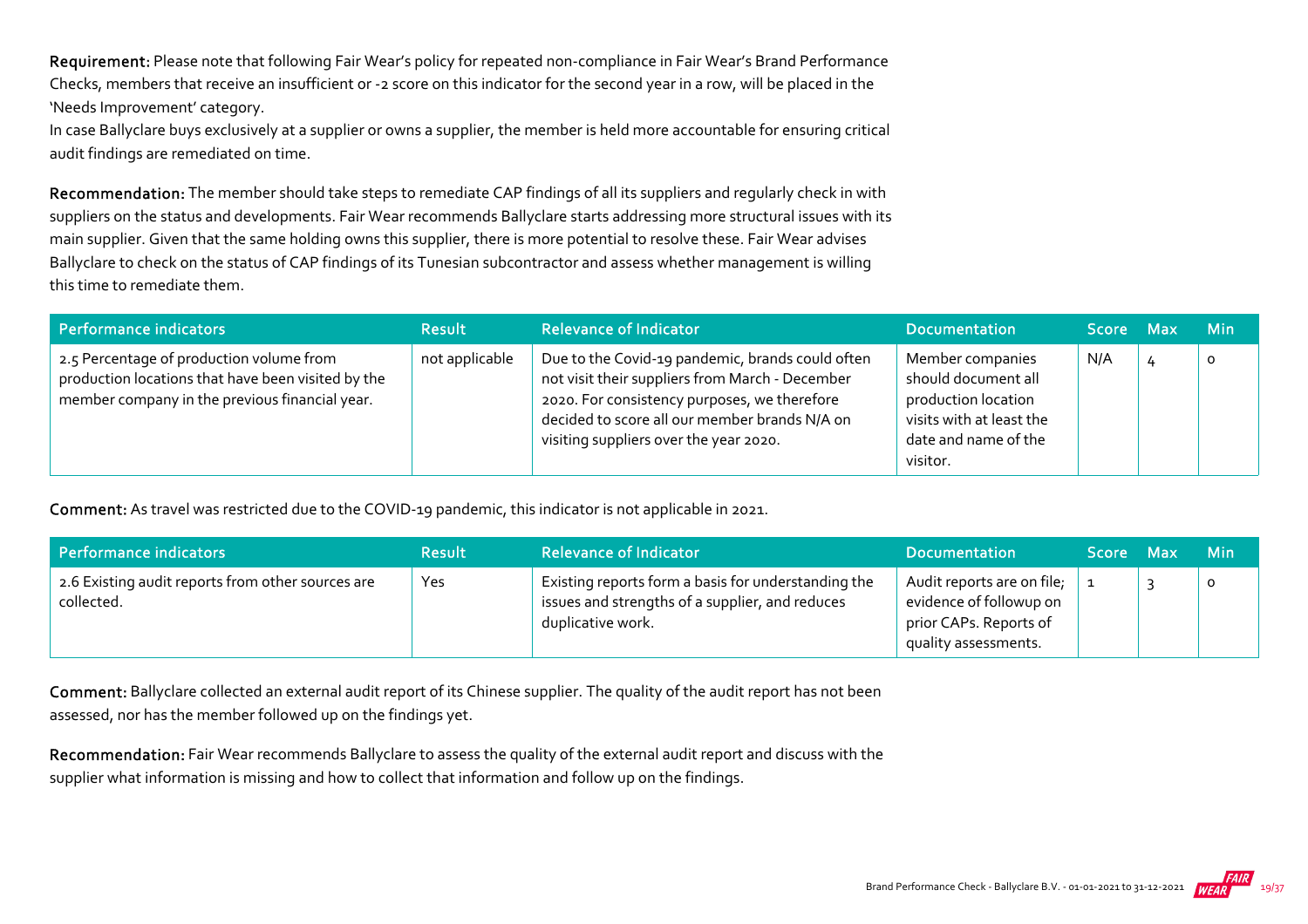Requirement: Please note that following Fair Wear's policy for repeated non-compliance in Fair Wear's Brand Performance Checks, members that receive an insufficient or ‐2 score on this indicator for the second year in a row, will be placed in the 'Needs Improvement' category.

In case Ballyclare buys exclusively at a supplier or owns a supplier, the member is held more accountable for ensuring critical audit findings are remediated on time.

Recommendation: The member should take steps to remediate CAP findings of all its suppliers and regularly check in with suppliers on the status and developments. Fair Wear recommends Ballyclare starts addressing more structural issues with its main supplier. Given that the same holding owns this supplier, there is more potential to resolve these. Fair Wear advises Ballyclare to check on the status of CAP findings of its Tunesian subcontractor and assess whether management is willing this time to remediate them.

| Performance indicators                                                                                                                           | <b>Result</b>  | <b>Relevance of Indicator</b>                                                                                                                                                                                                                  | <b>Documentation</b>                                                                                                           | Score Max | <b>Min</b> |
|--------------------------------------------------------------------------------------------------------------------------------------------------|----------------|------------------------------------------------------------------------------------------------------------------------------------------------------------------------------------------------------------------------------------------------|--------------------------------------------------------------------------------------------------------------------------------|-----------|------------|
| 2.5 Percentage of production volume from<br>production locations that have been visited by the<br>member company in the previous financial year. | not applicable | Due to the Covid-19 pandemic, brands could often<br>not visit their suppliers from March - December<br>2020. For consistency purposes, we therefore<br>decided to score all our member brands N/A on<br>visiting suppliers over the year 2020. | Member companies<br>should document all<br>production location<br>visits with at least the<br>date and name of the<br>visitor. | N/A       | O          |

Comment: As travel was restricted due to the COVID‐19 pandemic, this indicator is not applicable in 2021.

| Performance indicators                                          | <b>Result</b> | <b>Relevance of Indicator</b>                                                                                               | <b>Documentation</b>                                                                                    | Score Max | <b>Min</b> |
|-----------------------------------------------------------------|---------------|-----------------------------------------------------------------------------------------------------------------------------|---------------------------------------------------------------------------------------------------------|-----------|------------|
| 2.6 Existing audit reports from other sources are<br>collected. | Yes           | Existing reports form a basis for understanding the<br>issues and strengths of a supplier, and reduces<br>duplicative work. | Audit reports are on file;<br>evidence of followup on<br>prior CAPs. Reports of<br>quality assessments. |           | 0          |

Comment: Ballyclare collected an external audit report of its Chinese supplier. The quality of the audit report has not been assessed, nor has the member followed up on the findings yet.

Recommendation: Fair Wear recommends Ballyclare to assess the quality of the external audit report and discuss with the supplier what information is missing and how to collect that information and follow up on the findings.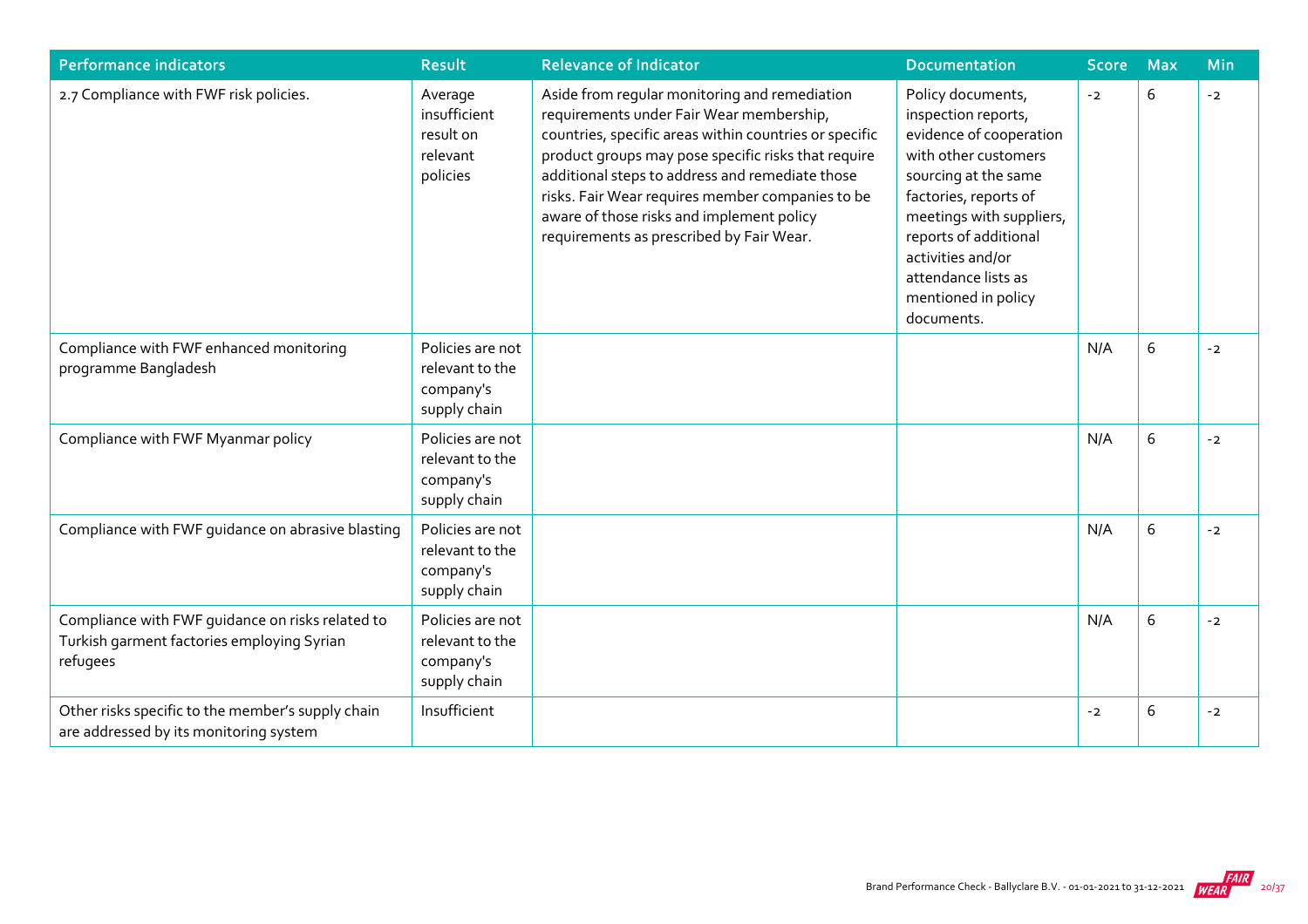| Performance indicators                                                                                     | <b>Result</b>                                                    | <b>Relevance of Indicator</b>                                                                                                                                                                                                                                                                                                                                                                              | <b>Documentation</b>                                                                                                                                                                                                                                                               | <b>Score</b> | <b>Max</b> | Min  |
|------------------------------------------------------------------------------------------------------------|------------------------------------------------------------------|------------------------------------------------------------------------------------------------------------------------------------------------------------------------------------------------------------------------------------------------------------------------------------------------------------------------------------------------------------------------------------------------------------|------------------------------------------------------------------------------------------------------------------------------------------------------------------------------------------------------------------------------------------------------------------------------------|--------------|------------|------|
| 2.7 Compliance with FWF risk policies.                                                                     | Average<br>insufficient<br>result on<br>relevant<br>policies     | Aside from regular monitoring and remediation<br>requirements under Fair Wear membership,<br>countries, specific areas within countries or specific<br>product groups may pose specific risks that require<br>additional steps to address and remediate those<br>risks. Fair Wear requires member companies to be<br>aware of those risks and implement policy<br>requirements as prescribed by Fair Wear. | Policy documents,<br>inspection reports,<br>evidence of cooperation<br>with other customers<br>sourcing at the same<br>factories, reports of<br>meetings with suppliers,<br>reports of additional<br>activities and/or<br>attendance lists as<br>mentioned in policy<br>documents. | $-2$         | 6          | $-2$ |
| Compliance with FWF enhanced monitoring<br>programme Bangladesh                                            | Policies are not<br>relevant to the<br>company's<br>supply chain |                                                                                                                                                                                                                                                                                                                                                                                                            |                                                                                                                                                                                                                                                                                    | N/A          | 6          | $-2$ |
| Compliance with FWF Myanmar policy                                                                         | Policies are not<br>relevant to the<br>company's<br>supply chain |                                                                                                                                                                                                                                                                                                                                                                                                            |                                                                                                                                                                                                                                                                                    | N/A          | 6          | $-2$ |
| Compliance with FWF guidance on abrasive blasting                                                          | Policies are not<br>relevant to the<br>company's<br>supply chain |                                                                                                                                                                                                                                                                                                                                                                                                            |                                                                                                                                                                                                                                                                                    | N/A          | 6          | $-2$ |
| Compliance with FWF guidance on risks related to<br>Turkish garment factories employing Syrian<br>refugees | Policies are not<br>relevant to the<br>company's<br>supply chain |                                                                                                                                                                                                                                                                                                                                                                                                            |                                                                                                                                                                                                                                                                                    | N/A          | 6          | $-2$ |
| Other risks specific to the member's supply chain<br>are addressed by its monitoring system                | Insufficient                                                     |                                                                                                                                                                                                                                                                                                                                                                                                            |                                                                                                                                                                                                                                                                                    | $-2$         | 6          | $-2$ |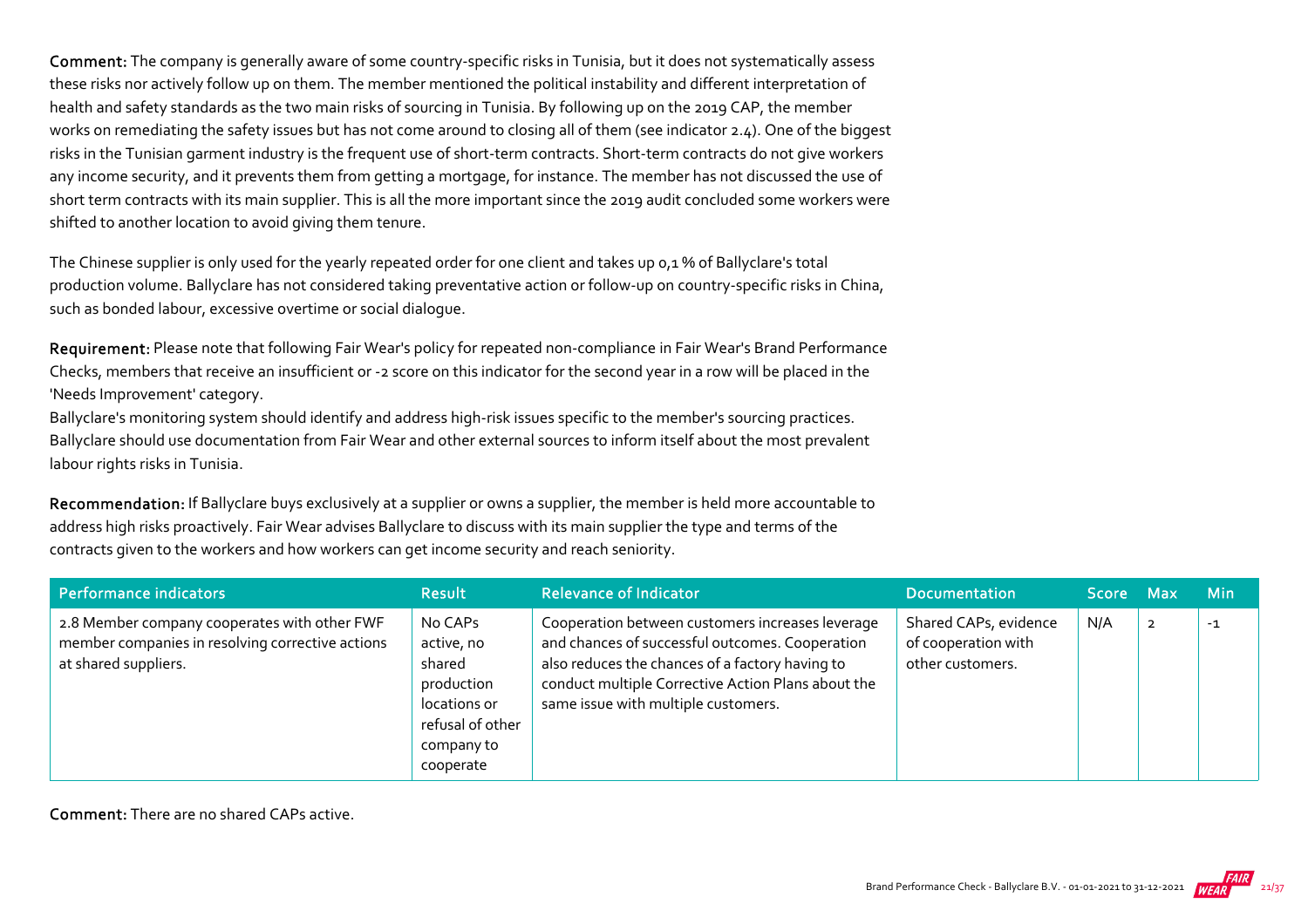Comment: The company is generally aware of some country-specific risks in Tunisia, but it does not systematically assess these risks nor actively follow up on them. The member mentioned the political instability and different interpretation of health and safety standards as the two main risks of sourcing in Tunisia. By following up on the 2019 CAP, the member works on remediating the safety issues but has not come around to closing all of them (see indicator 2.4). One of the biggest risks in the Tunisian garment industry is the frequent use of short‐term contracts. Short‐term contracts do not give workers any income security, and it prevents them from getting a mortgage, for instance. The member has not discussed the use of short term contracts with its main supplier. This is all the more important since the 2019 audit concluded some workers were shifted to another location to avoid giving them tenure.

The Chinese supplier is only used for the yearly repeated order for one client and takes up 0,1 % of Ballyclare's total production volume. Ballyclare has not considered taking preventative action or follow-up on country-specific risks in China, such as bonded labour, excessive overtime or social dialogue.

Requirement: Please note that following Fair Wear's policy for repeated non-compliance in Fair Wear's Brand Performance Checks, members that receive an insufficient or ‐2 score on this indicator for the second year in a row will be placed in the 'Needs Improvement' category.

Ballyclare's monitoring system should identify and address high‐risk issues specific to the member's sourcing practices. Ballyclare should use documentation from Fair Wear and other external sources to inform itself about the most prevalent labour rights risks in Tunisia.

Recommendation: If Ballyclare buys exclusively at a supplier or owns a supplier, the member is held more accountable to address high risks proactively. Fair Wear advises Ballyclare to discuss with its main supplier the type and terms of the contracts given to the workers and how workers can get income security and reach seniority.

| Performance indicators                                                                                                   | <b>Result</b>                                                                                                | <b>Relevance of Indicator</b>                                                                                                                                                                                                                       | <b>Documentation</b>                                             | Score Max | <b>Min</b> |
|--------------------------------------------------------------------------------------------------------------------------|--------------------------------------------------------------------------------------------------------------|-----------------------------------------------------------------------------------------------------------------------------------------------------------------------------------------------------------------------------------------------------|------------------------------------------------------------------|-----------|------------|
| 2.8 Member company cooperates with other FWF<br>member companies in resolving corrective actions<br>at shared suppliers. | No CAPs<br>active, no<br>shared<br>production<br>locations or<br>refusal of other<br>company to<br>cooperate | Cooperation between customers increases leverage<br>and chances of successful outcomes. Cooperation<br>also reduces the chances of a factory having to<br>conduct multiple Corrective Action Plans about the<br>same issue with multiple customers. | Shared CAPs, evidence<br>of cooperation with<br>other customers. | N/A       | $-1$       |

Comment: There are no shared CAPs active.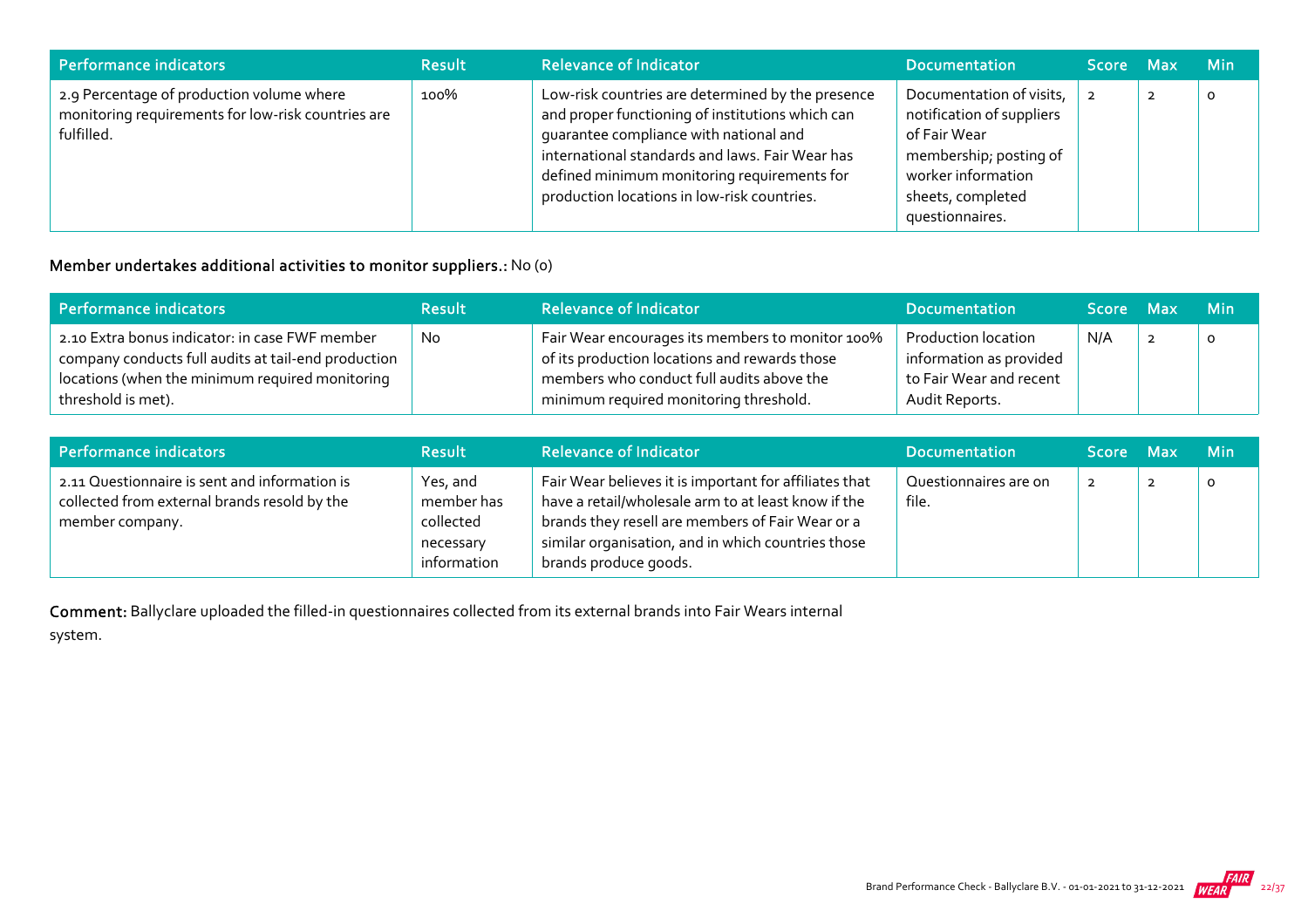| Performance indicators                                                                                        | <b>Result</b> | <b>Relevance of Indicator</b>                                                                                                                                                                                                                                                                    | <b>Documentation</b>                                                                                                                                          | Score Max |                | <b>Min</b> |
|---------------------------------------------------------------------------------------------------------------|---------------|--------------------------------------------------------------------------------------------------------------------------------------------------------------------------------------------------------------------------------------------------------------------------------------------------|---------------------------------------------------------------------------------------------------------------------------------------------------------------|-----------|----------------|------------|
| 2.9 Percentage of production volume where<br>monitoring requirements for low-risk countries are<br>fulfilled. | 100%          | Low-risk countries are determined by the presence<br>and proper functioning of institutions which can<br>quarantee compliance with national and<br>international standards and laws. Fair Wear has<br>defined minimum monitoring requirements for<br>production locations in low-risk countries. | Documentation of visits,<br>notification of suppliers<br>of Fair Wear<br>membership; posting of<br>worker information<br>sheets, completed<br>questionnaires. |           | $\overline{2}$ | O          |

#### Member undertakes additional activities to monitor suppliers.: No (0)

| Performance indicators                                                                                                                                                         | <b>Result</b> | <b>Relevance of Indicator</b>                                                                                                                                                            | <b>Documentation</b>                                                                        | Score Max | <b>Min</b> |
|--------------------------------------------------------------------------------------------------------------------------------------------------------------------------------|---------------|------------------------------------------------------------------------------------------------------------------------------------------------------------------------------------------|---------------------------------------------------------------------------------------------|-----------|------------|
| 2.10 Extra bonus indicator: in case FWF member<br>company conducts full audits at tail-end production<br>locations (when the minimum required monitoring<br>threshold is met). | <b>No</b>     | Fair Wear encourages its members to monitor 100%<br>of its production locations and rewards those<br>members who conduct full audits above the<br>minimum required monitoring threshold. | Production location<br>information as provided<br>to Fair Wear and recent<br>Audit Reports. | N/A       |            |

| Performance indicators                                                                                           | <b>Result</b>                                                   | <b>Relevance of Indicator</b>                                                                                                                                                                                                                    | <b>Documentation</b>           | Score Max      | <b>Min</b> |
|------------------------------------------------------------------------------------------------------------------|-----------------------------------------------------------------|--------------------------------------------------------------------------------------------------------------------------------------------------------------------------------------------------------------------------------------------------|--------------------------------|----------------|------------|
| 2.11 Questionnaire is sent and information is<br>collected from external brands resold by the<br>member company. | Yes, and<br>member has<br>collected<br>necessary<br>information | Fair Wear believes it is important for affiliates that<br>have a retail/wholesale arm to at least know if the<br>brands they resell are members of Fair Wear or a<br>similar organisation, and in which countries those<br>brands produce goods. | Questionnaires are on<br>file. | $\overline{2}$ | O          |

Comment: Ballyclare uploaded the filled‐in questionnaires collected from its external brands into Fair Wears internal

system.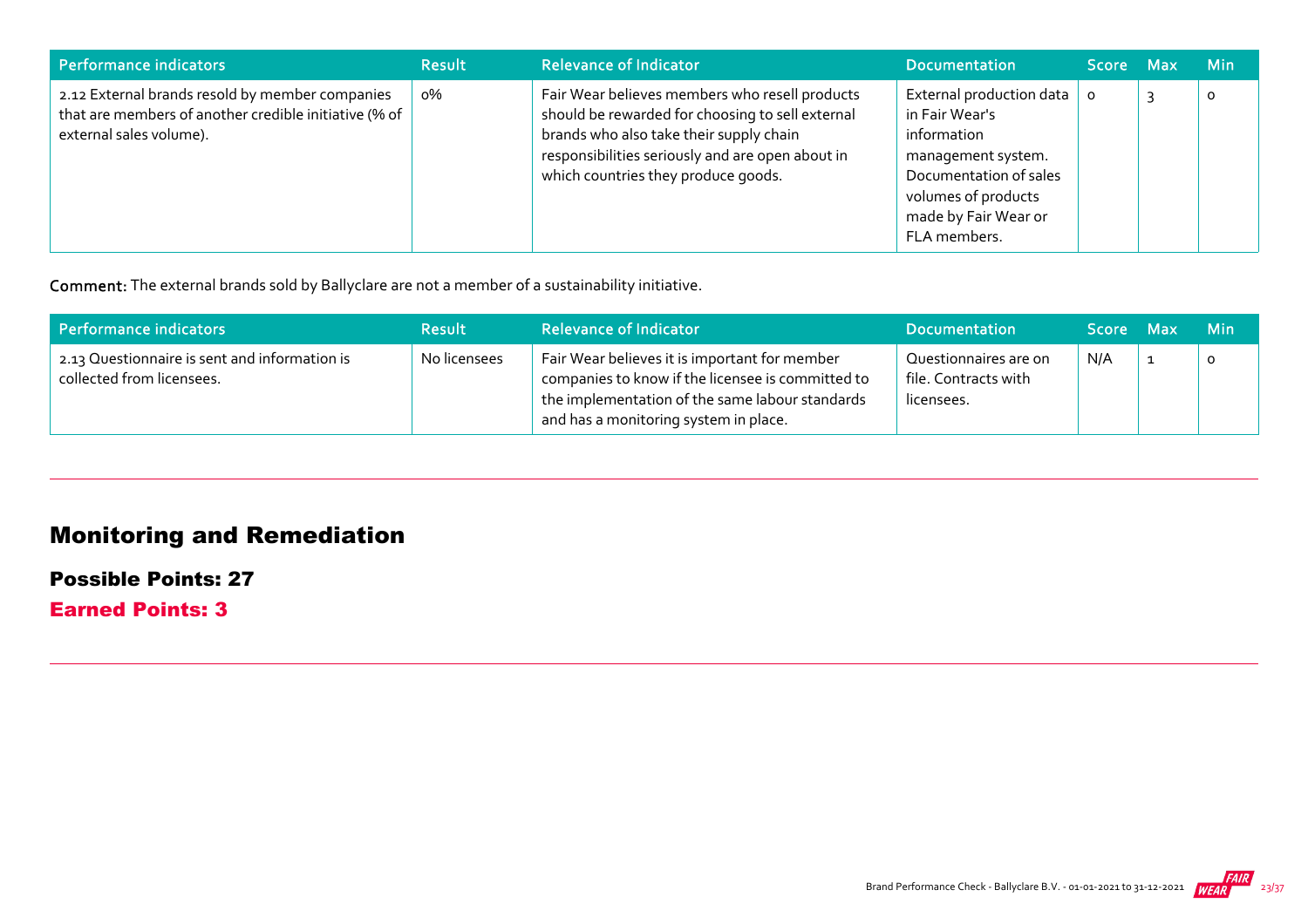| <b>Performance indicators</b>                                                                                                       | <b>Result</b> | <b>Relevance of Indicator</b>                                                                                                                                                                                                            | <b>Documentation</b>                                                                                                                                                     | Score Max    | <b>Min</b> |
|-------------------------------------------------------------------------------------------------------------------------------------|---------------|------------------------------------------------------------------------------------------------------------------------------------------------------------------------------------------------------------------------------------------|--------------------------------------------------------------------------------------------------------------------------------------------------------------------------|--------------|------------|
| 2.12 External brands resold by member companies<br>that are members of another credible initiative (% of<br>external sales volume). | о%            | Fair Wear believes members who resell products<br>should be rewarded for choosing to sell external<br>brands who also take their supply chain<br>responsibilities seriously and are open about in<br>which countries they produce goods. | External production data<br>in Fair Wear's<br>information<br>management system.<br>Documentation of sales<br>volumes of products<br>made by Fair Wear or<br>FLA members. | $\mathbf{o}$ | $\Omega$   |

Comment: The external brands sold by Ballyclare are not a member of a sustainability initiative.

| Performance indicators                                                     | <b>Result</b> | <b>Relevance of Indicator</b>                                                                                                                                                                  | <b>Documentation</b>                                        | <b>Score</b> | Max | - Min   |
|----------------------------------------------------------------------------|---------------|------------------------------------------------------------------------------------------------------------------------------------------------------------------------------------------------|-------------------------------------------------------------|--------------|-----|---------|
| 2.13 Questionnaire is sent and information is<br>collected from licensees. | No licensees  | Fair Wear believes it is important for member<br>companies to know if the licensee is committed to<br>the implementation of the same labour standards<br>and has a monitoring system in place. | Questionnaires are on<br>file. Contracts with<br>licensees. | N/A          |     | $\circ$ |

## Monitoring and Remediation

Possible Points: 27

Earned Points: 3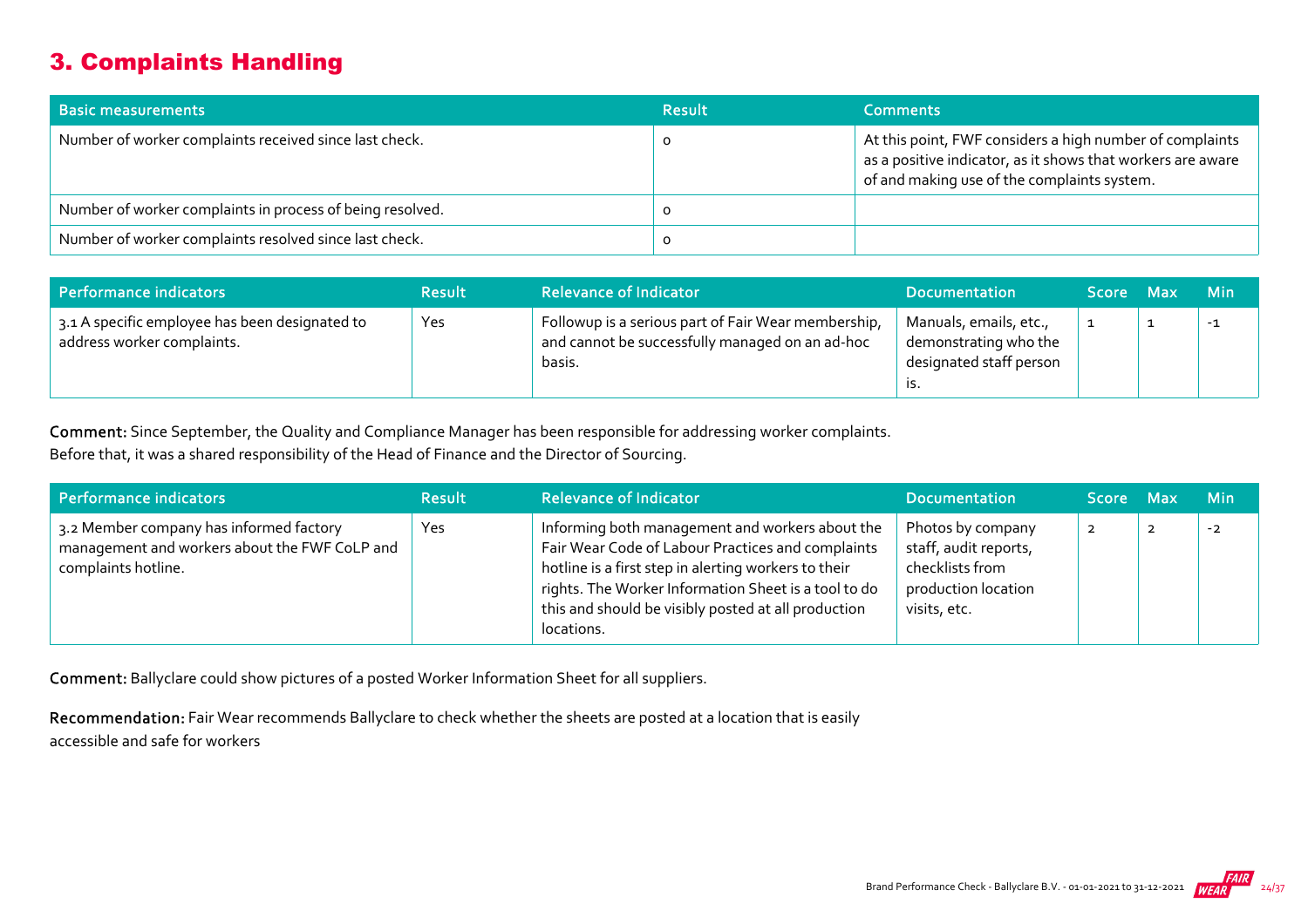## 3. Complaints Handling

| <b>Basic measurements</b>                                 | <b>Result</b> | <b>Comments</b>                                                                                                                                                        |
|-----------------------------------------------------------|---------------|------------------------------------------------------------------------------------------------------------------------------------------------------------------------|
| Number of worker complaints received since last check.    |               | At this point, FWF considers a high number of complaints<br>as a positive indicator, as it shows that workers are aware<br>of and making use of the complaints system. |
| Number of worker complaints in process of being resolved. |               |                                                                                                                                                                        |
| Number of worker complaints resolved since last check.    |               |                                                                                                                                                                        |

| Performance indicators                                                       | <b>Result</b> | <b>Relevance of Indicator</b>                                                                                    | <b>Documentation</b>                                                       | Score Max | <b>Min</b> |
|------------------------------------------------------------------------------|---------------|------------------------------------------------------------------------------------------------------------------|----------------------------------------------------------------------------|-----------|------------|
| 3.1 A specific employee has been designated to<br>address worker complaints. | Yes           | Followup is a serious part of Fair Wear membership,<br>and cannot be successfully managed on an ad-hoc<br>basis. | Manuals, emails, etc.,<br>demonstrating who the<br>designated staff person |           | $-1$       |

Comment: Since September, the Quality and Compliance Manager has been responsible for addressing worker complaints.

Before that, it was a shared responsibility of the Head of Finance and the Director of Sourcing.

| Performance indicators                                                                                          | <b>Result</b> | <b>Relevance of Indicator</b>                                                                                                                                                                                                                                                             | <b>Documentation</b>                                                                                 | Score Max    |                | <b>Min</b> |
|-----------------------------------------------------------------------------------------------------------------|---------------|-------------------------------------------------------------------------------------------------------------------------------------------------------------------------------------------------------------------------------------------------------------------------------------------|------------------------------------------------------------------------------------------------------|--------------|----------------|------------|
| 3.2 Member company has informed factory<br>management and workers about the FWF CoLP and<br>complaints hotline. | Yes           | Informing both management and workers about the<br>Fair Wear Code of Labour Practices and complaints<br>hotline is a first step in alerting workers to their<br>rights. The Worker Information Sheet is a tool to do<br>this and should be visibly posted at all production<br>locations. | Photos by company<br>staff, audit reports,<br>checklists from<br>production location<br>visits, etc. | $\mathbf{2}$ | $\overline{2}$ | $-2$       |

Comment: Ballyclare could show pictures of a posted Worker Information Sheet for all suppliers.

Recommendation: Fair Wear recommends Ballyclare to check whether the sheets are posted at a location that is easily accessible and safe for workers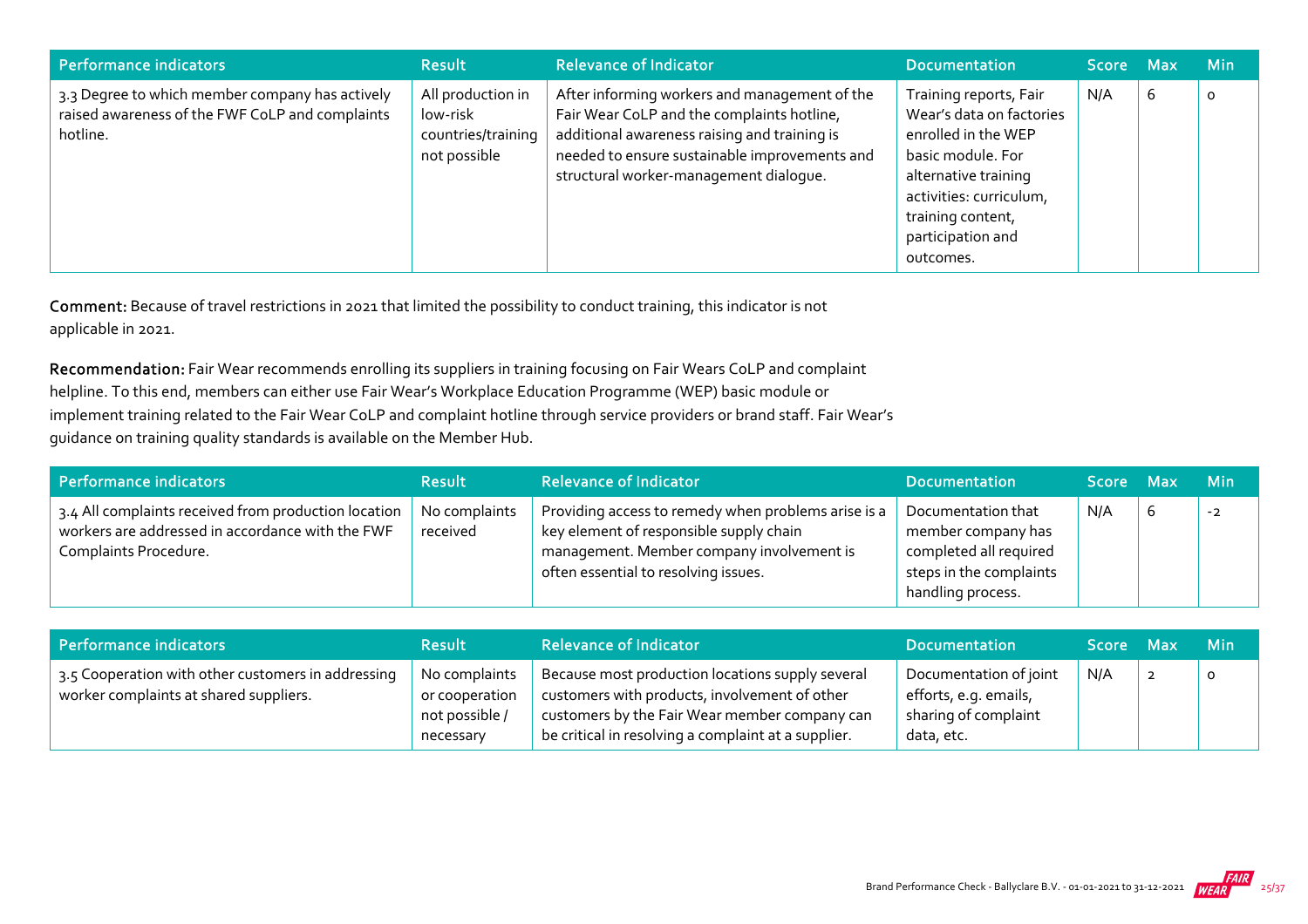| Performance indicators                                                                                         | <b>Result</b>                                                       | <b>Relevance of Indicator</b>                                                                                                                                                                                                          | <b>Documentation</b>                                                                                                                                                                                     | Score Max |   | <b>Min</b> |
|----------------------------------------------------------------------------------------------------------------|---------------------------------------------------------------------|----------------------------------------------------------------------------------------------------------------------------------------------------------------------------------------------------------------------------------------|----------------------------------------------------------------------------------------------------------------------------------------------------------------------------------------------------------|-----------|---|------------|
| 3.3 Degree to which member company has actively<br>raised awareness of the FWF CoLP and complaints<br>hotline. | All production in<br>low-risk<br>countries/training<br>not possible | After informing workers and management of the<br>Fair Wear CoLP and the complaints hotline,<br>additional awareness raising and training is<br>needed to ensure sustainable improvements and<br>structural worker-management dialogue. | Training reports, Fair<br>Wear's data on factories<br>enrolled in the WEP<br>basic module. For<br>alternative training<br>activities: curriculum,<br>training content,<br>participation and<br>outcomes. | N/A       | ь | $\circ$    |

Comment: Because of travel restrictions in 2021 that limited the possibility to conduct training, this indicator is not applicable in 2021.

Recommendation: Fair Wear recommends enrolling its suppliers in training focusing on Fair Wears CoLP and complaint helpline. To this end, members can either use Fair Wear's Workplace Education Programme (WEP) basic module or implement training related to the Fair Wear CoLP and complaint hotline through service providers or brand staff. Fair Wear's guidance on training quality standards is available on the Member Hub.

| Performance indicators                                                                                                            | <b>Result</b>             | <b>Relevance of Indicator</b>                                                                                                                                                       | <b>Documentation</b>                                                                                               | Score Max | <b>Min</b> |
|-----------------------------------------------------------------------------------------------------------------------------------|---------------------------|-------------------------------------------------------------------------------------------------------------------------------------------------------------------------------------|--------------------------------------------------------------------------------------------------------------------|-----------|------------|
| 3.4 All complaints received from production location<br>workers are addressed in accordance with the FWF<br>Complaints Procedure. | No complaints<br>received | Providing access to remedy when problems arise is a<br>key element of responsible supply chain<br>management. Member company involvement is<br>often essential to resolving issues. | Documentation that<br>member company has<br>completed all required<br>steps in the complaints<br>handling process. | N/A       | $-2$       |

| Performance indicators                                                                       | <b>Result</b>                                                  | <b>Relevance of Indicator</b>                                                                                                                                                                             | <b>Documentation</b>                                                                  | Score Max | -Min |
|----------------------------------------------------------------------------------------------|----------------------------------------------------------------|-----------------------------------------------------------------------------------------------------------------------------------------------------------------------------------------------------------|---------------------------------------------------------------------------------------|-----------|------|
| 3.5 Cooperation with other customers in addressing<br>worker complaints at shared suppliers. | No complaints<br>or cooperation<br>not possible /<br>necessary | Because most production locations supply several<br>customers with products, involvement of other<br>customers by the Fair Wear member company can<br>be critical in resolving a complaint at a supplier. | Documentation of joint<br>efforts, e.g. emails,<br>sharing of complaint<br>data, etc. | N/A       | o    |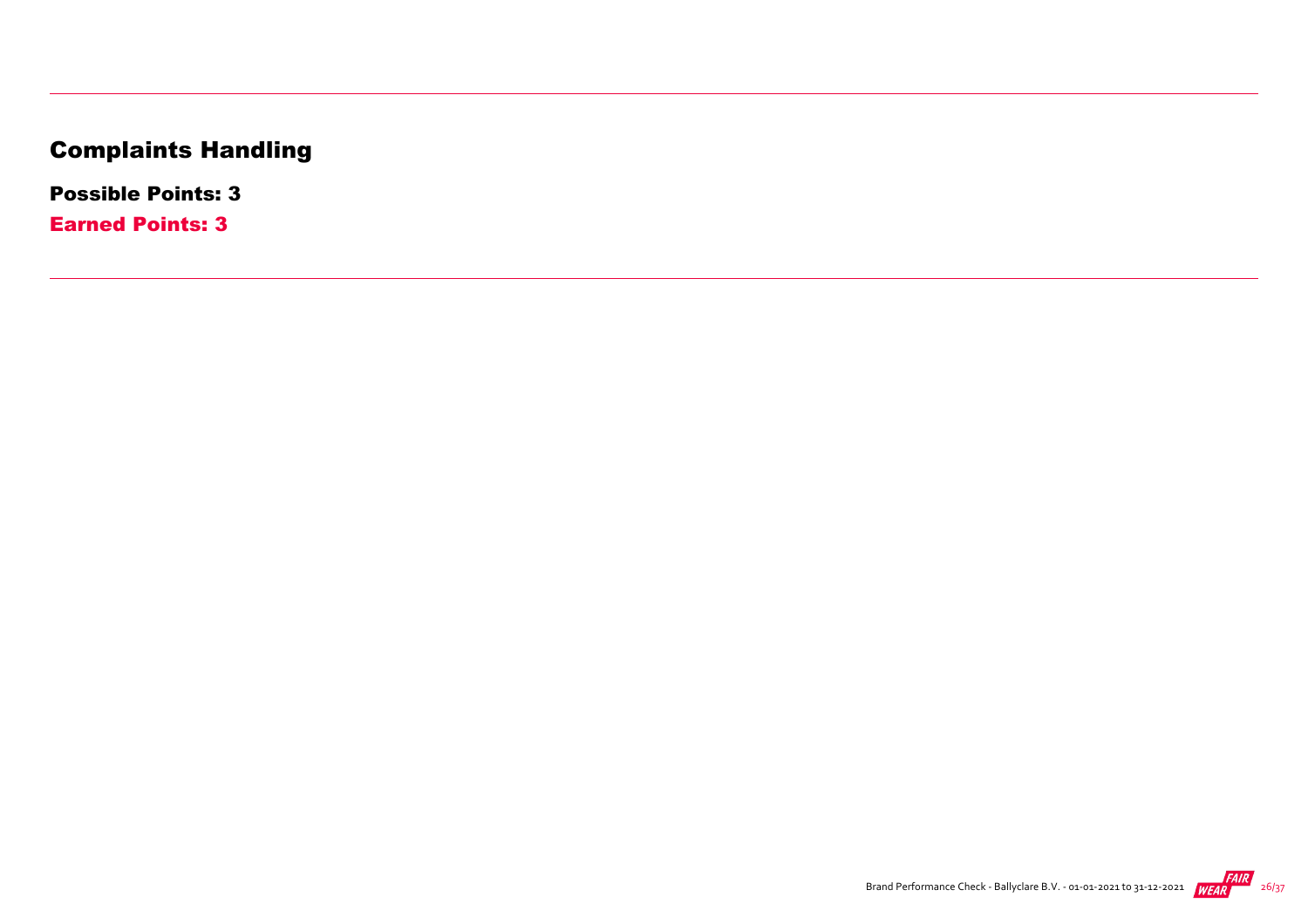## Complaints Handling

Possible Points: 3

Earned Points: 3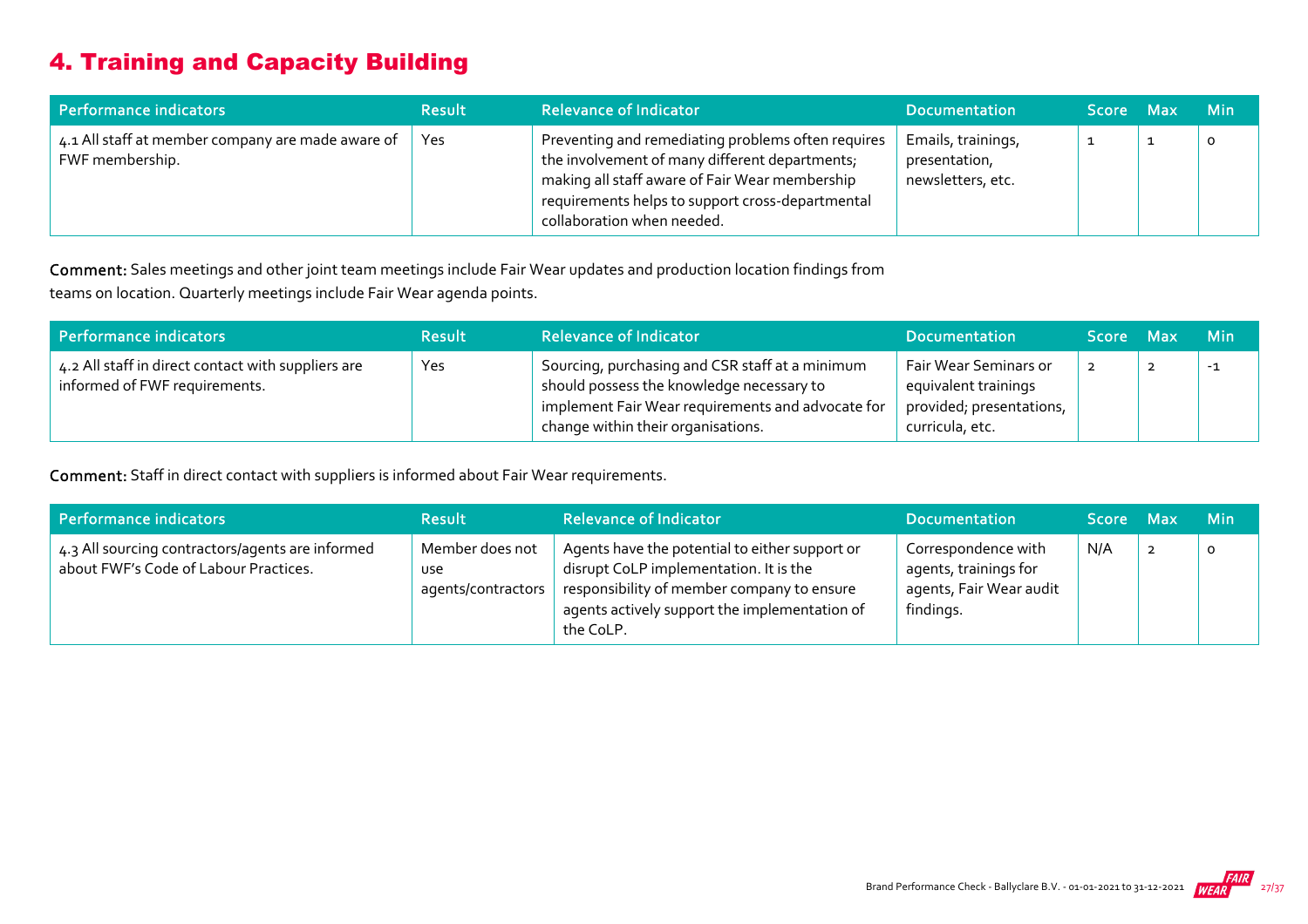## 4. Training and Capacity Building

| Performance indicators                                               | <b>Result</b> | <b>Relevance of Indicator</b>                                                                                                                                                                                                            | <b>Documentation</b>                                     | ا Score Max | <b>Min</b> |
|----------------------------------------------------------------------|---------------|------------------------------------------------------------------------------------------------------------------------------------------------------------------------------------------------------------------------------------------|----------------------------------------------------------|-------------|------------|
| 4.1 All staff at member company are made aware of<br>FWF membership. | Yes           | Preventing and remediating problems often requires<br>the involvement of many different departments;<br>making all staff aware of Fair Wear membership<br>requirements helps to support cross-departmental<br>collaboration when needed. | Emails, trainings,<br>presentation,<br>newsletters, etc. |             | o          |

Comment: Sales meetings and other joint team meetings include Fair Wear updates and production location findings from teams on location. Quarterly meetings include Fair Wear agenda points.

| Performance indicators                                                              | <b>Result</b> | <b>Relevance of Indicator</b>                                                                                                                                                           | <b>Documentation</b>                                                                         | Score Max | <b>Min</b> |
|-------------------------------------------------------------------------------------|---------------|-----------------------------------------------------------------------------------------------------------------------------------------------------------------------------------------|----------------------------------------------------------------------------------------------|-----------|------------|
| 4.2 All staff in direct contact with suppliers are<br>informed of FWF requirements. | Yes           | Sourcing, purchasing and CSR staff at a minimum<br>should possess the knowledge necessary to<br>implement Fair Wear requirements and advocate for<br>change within their organisations. | Fair Wear Seminars or<br>equivalent trainings<br>provided; presentations,<br>curricula, etc. | 2         | $-1$       |

Comment: Staff in direct contact with suppliers is informed about Fair Wear requirements.

| Performance indicators                                                                    | <b>Result</b>                                       | <b>Relevance of Indicator</b>                                                                                                                                                                        | <b>Documentation</b>                                                                 | Score Max | <b>Min</b> |
|-------------------------------------------------------------------------------------------|-----------------------------------------------------|------------------------------------------------------------------------------------------------------------------------------------------------------------------------------------------------------|--------------------------------------------------------------------------------------|-----------|------------|
| 4.3 All sourcing contractors/agents are informed<br>about FWF's Code of Labour Practices. | Member does not<br><b>use</b><br>agents/contractors | Agents have the potential to either support or<br>disrupt CoLP implementation. It is the<br>responsibility of member company to ensure<br>agents actively support the implementation of<br>the CoLP. | Correspondence with<br>agents, trainings for<br>agents, Fair Wear audit<br>findings. | N/A       | $\circ$    |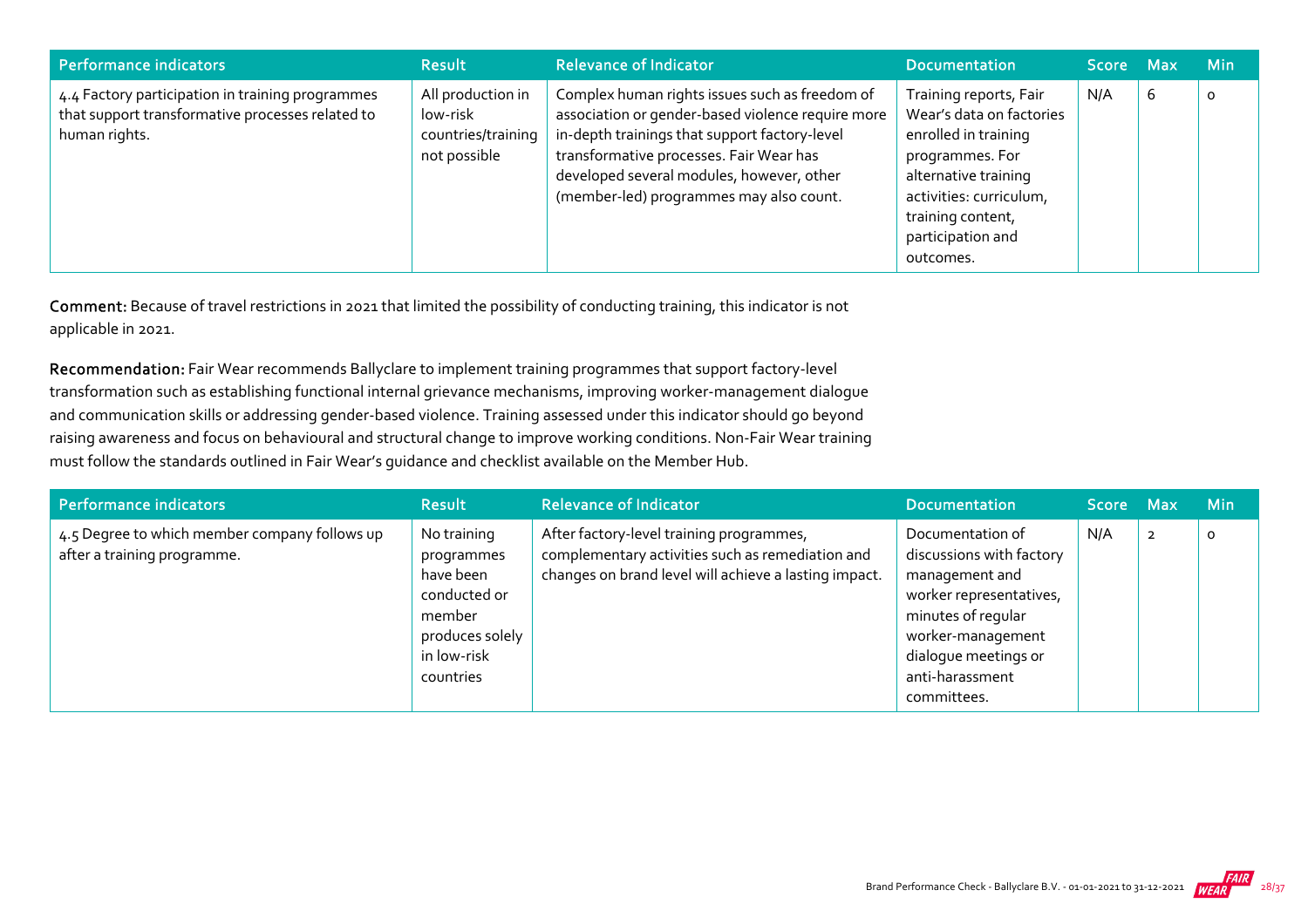| Performance indicators                                                                                                | <b>Result</b>                                                       | <b>Relevance of Indicator</b>                                                                                                                                                                                                                                                           | <b>Documentation</b>                                                                                                                                                                                    | Score Max |   | <b>Min</b> |
|-----------------------------------------------------------------------------------------------------------------------|---------------------------------------------------------------------|-----------------------------------------------------------------------------------------------------------------------------------------------------------------------------------------------------------------------------------------------------------------------------------------|---------------------------------------------------------------------------------------------------------------------------------------------------------------------------------------------------------|-----------|---|------------|
| 4.4 Factory participation in training programmes<br>that support transformative processes related to<br>human rights. | All production in<br>low-risk<br>countries/training<br>not possible | Complex human rights issues such as freedom of<br>association or gender-based violence require more<br>in-depth trainings that support factory-level<br>transformative processes. Fair Wear has<br>developed several modules, however, other<br>(member-led) programmes may also count. | Training reports, Fair<br>Wear's data on factories<br>enrolled in training<br>programmes. For<br>alternative training<br>activities: curriculum,<br>training content,<br>participation and<br>outcomes. | N/A       | 6 | $\circ$    |

Comment: Because of travel restrictions in 2021 that limited the possibility of conducting training, this indicator is not applicable in 2021.

Recommendation: Fair Wear recommends Ballyclare to implement training programmes that support factory-level transformation such as establishing functional internal grievance mechanisms, improving worker‐management dialogue and communication skills or addressing gender‐based violence. Training assessed under this indicator should go beyond raising awareness and focus on behavioural and structural change to improve working conditions. Non‐Fair Wear training must follow the standards outlined in Fair Wear's guidance and checklist available on the Member Hub.

| Performance indicators                                                       | <b>Result</b>                                                                                                   | <b>Relevance of Indicator</b>                                                                                                                         | <b>Documentation</b>                                                                                                                                                                           | Score Max |                | <b>Min</b> |
|------------------------------------------------------------------------------|-----------------------------------------------------------------------------------------------------------------|-------------------------------------------------------------------------------------------------------------------------------------------------------|------------------------------------------------------------------------------------------------------------------------------------------------------------------------------------------------|-----------|----------------|------------|
| 4.5 Degree to which member company follows up<br>after a training programme. | No training<br>programmes<br>have been<br>conducted or<br>member<br>produces solely<br>in low-risk<br>countries | After factory-level training programmes,<br>complementary activities such as remediation and<br>changes on brand level will achieve a lasting impact. | Documentation of<br>discussions with factory<br>management and<br>worker representatives,<br>minutes of regular<br>worker-management<br>dialogue meetings or<br>anti-harassment<br>committees. | N/A       | $\overline{2}$ | $\circ$    |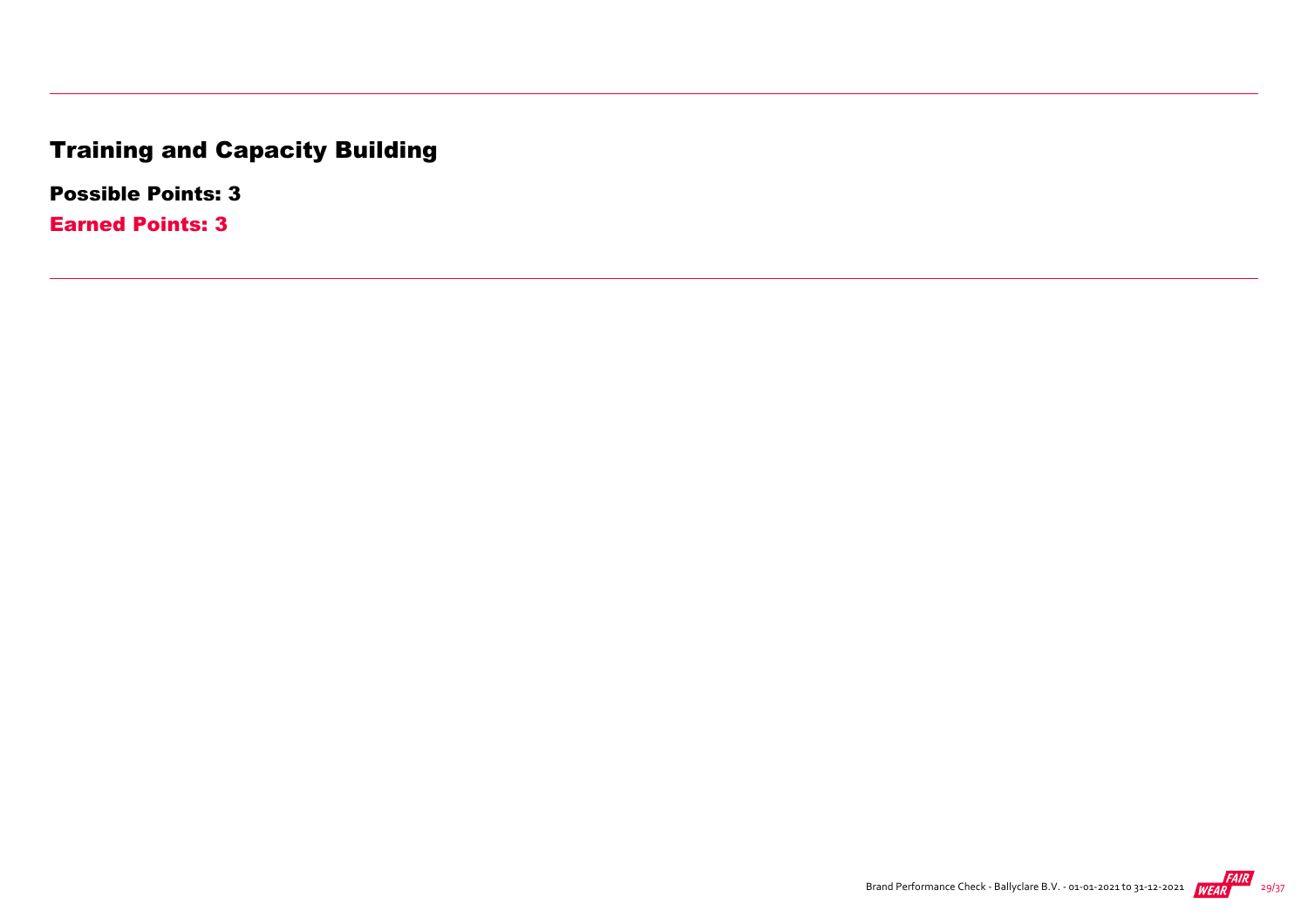## Training and Capacity Building

Possible Points: 3

Earned Points: 3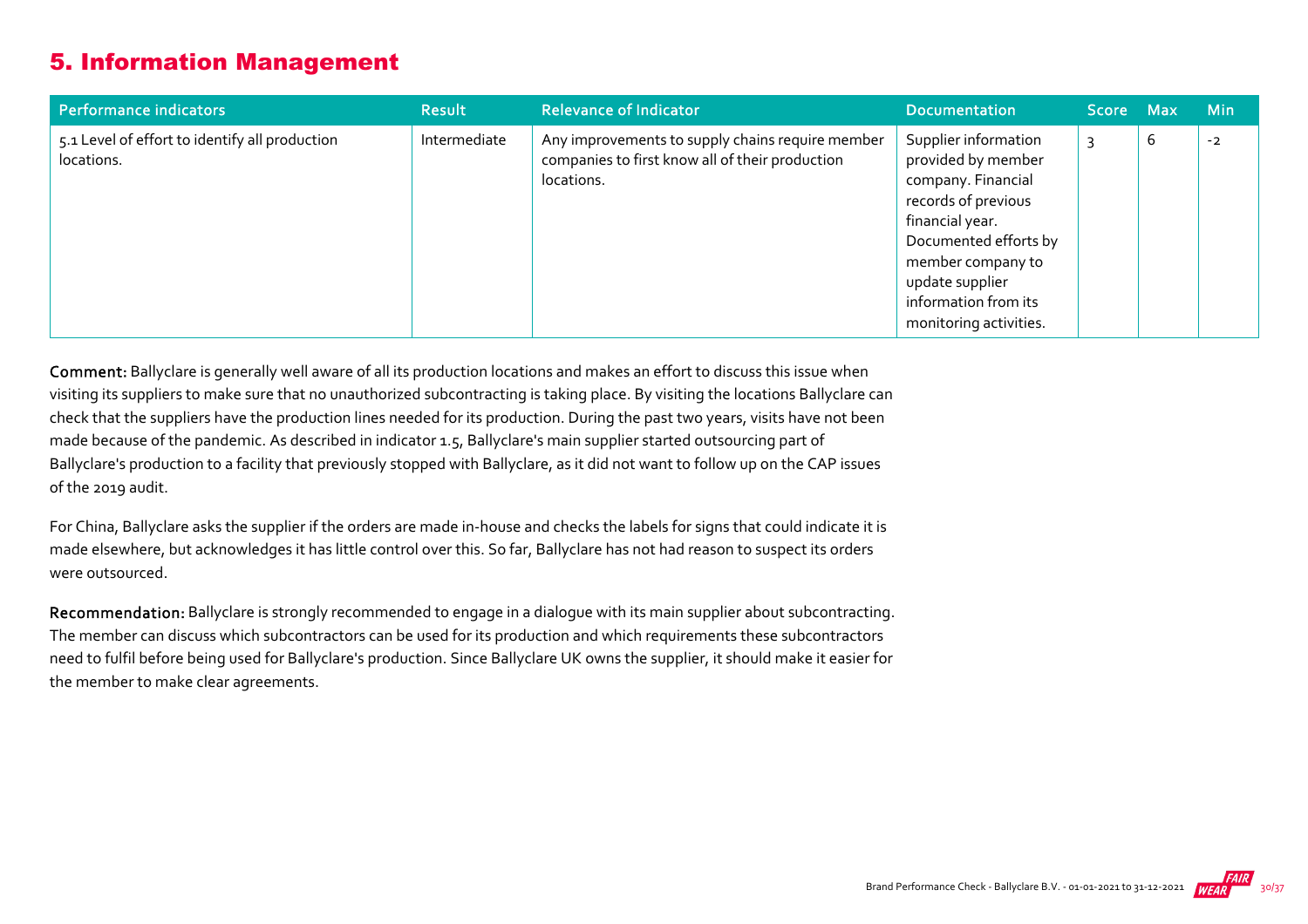### 5. Information Management

| Performance indicators                                       | <b>Result</b> | <b>Relevance of Indicator</b>                                                                                     | <b>Documentation</b>                                                                                                                                                                                                          | Score Max |   | <b>Min</b> |
|--------------------------------------------------------------|---------------|-------------------------------------------------------------------------------------------------------------------|-------------------------------------------------------------------------------------------------------------------------------------------------------------------------------------------------------------------------------|-----------|---|------------|
| 5.1 Level of effort to identify all production<br>locations. | Intermediate  | Any improvements to supply chains require member<br>companies to first know all of their production<br>locations. | Supplier information<br>provided by member<br>company. Financial<br>records of previous<br>financial year.<br>Documented efforts by<br>member company to<br>update supplier<br>information from its<br>monitoring activities. |           | b | $-2$       |

Comment: Ballyclare is generally well aware of all its production locations and makes an effort to discuss this issue when visiting its suppliers to make sure that no unauthorized subcontracting is taking place. By visiting the locations Ballyclare can check that the suppliers have the production lines needed for its production. During the past two years, visits have not been made because of the pandemic. As described in indicator 1.5, Ballyclare's main supplier started outsourcing part of Ballyclare's production to a facility that previously stopped with Ballyclare, as it did not want to follow up on the CAP issues of the 2019 audit.

For China, Ballyclare asks the supplier if the orders are made in‐house and checks the labels for signs that could indicate it is made elsewhere, but acknowledges it has little control over this. So far, Ballyclare has not had reason to suspect its orders were outsourced.

Recommendation: Ballyclare is strongly recommended to engage in a dialogue with its main supplier about subcontracting. The member can discuss which subcontractors can be used for its production and which requirements these subcontractors need to fulfil before being used for Ballyclare's production. Since Ballyclare UK owns the supplier, it should make it easier for the member to make clear agreements.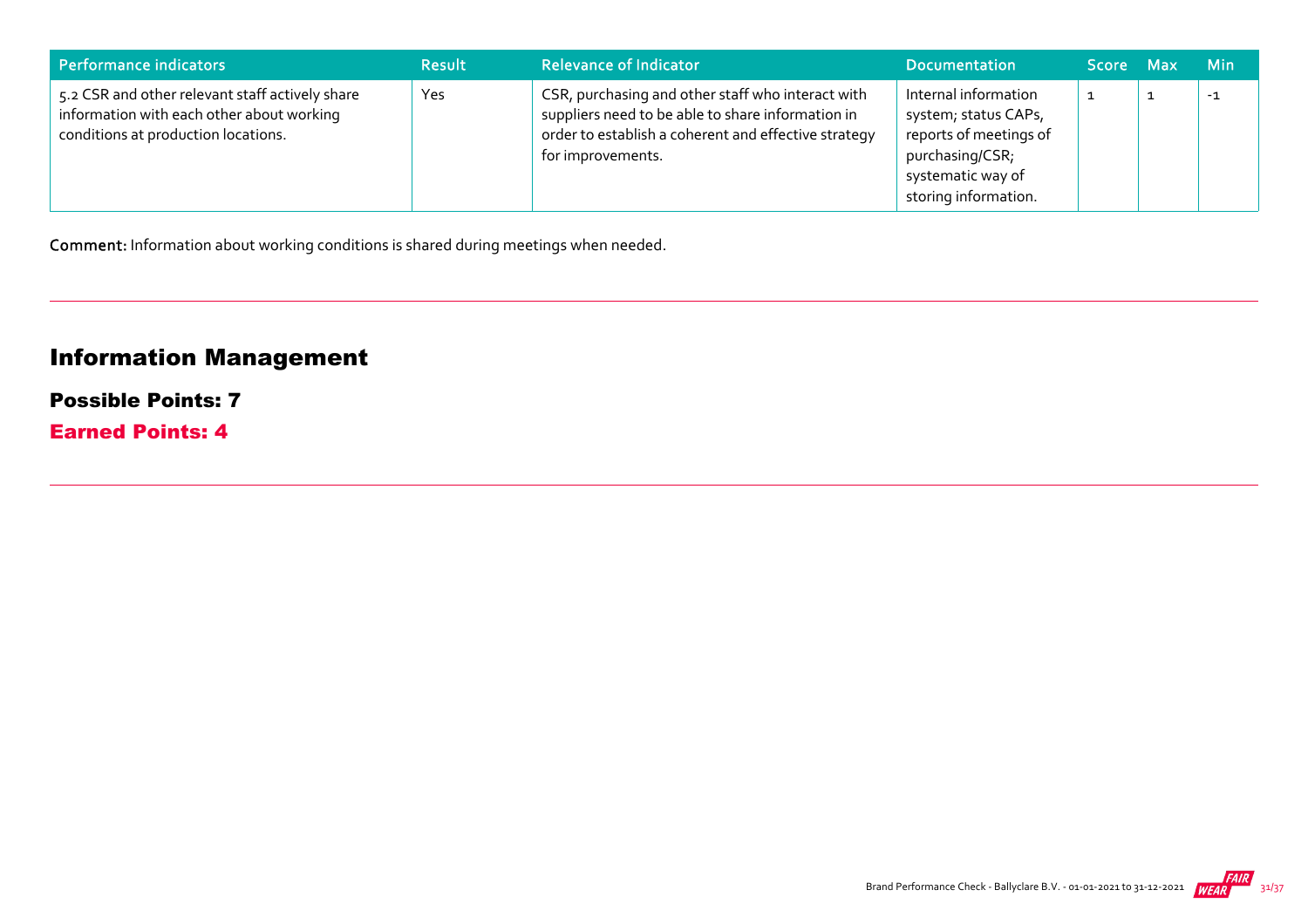| Performance indicators                                                                                                              | <b>Result</b> | <b>Relevance of Indicator</b>                                                                                                                                                       | <b>Documentation</b>                                                                                                                   | Score Max | <b>Min</b> |
|-------------------------------------------------------------------------------------------------------------------------------------|---------------|-------------------------------------------------------------------------------------------------------------------------------------------------------------------------------------|----------------------------------------------------------------------------------------------------------------------------------------|-----------|------------|
| 5.2 CSR and other relevant staff actively share<br>information with each other about working<br>conditions at production locations. | Yes           | CSR, purchasing and other staff who interact with<br>suppliers need to be able to share information in<br>order to establish a coherent and effective strategy<br>for improvements. | Internal information<br>system; status CAPs,<br>reports of meetings of<br>purchasing/CSR;<br>systematic way of<br>storing information. | ᆠ         | $-1$       |

Comment: Information about working conditions is shared during meetings when needed.

## Information Management

#### Possible Points: 7

Earned Points: 4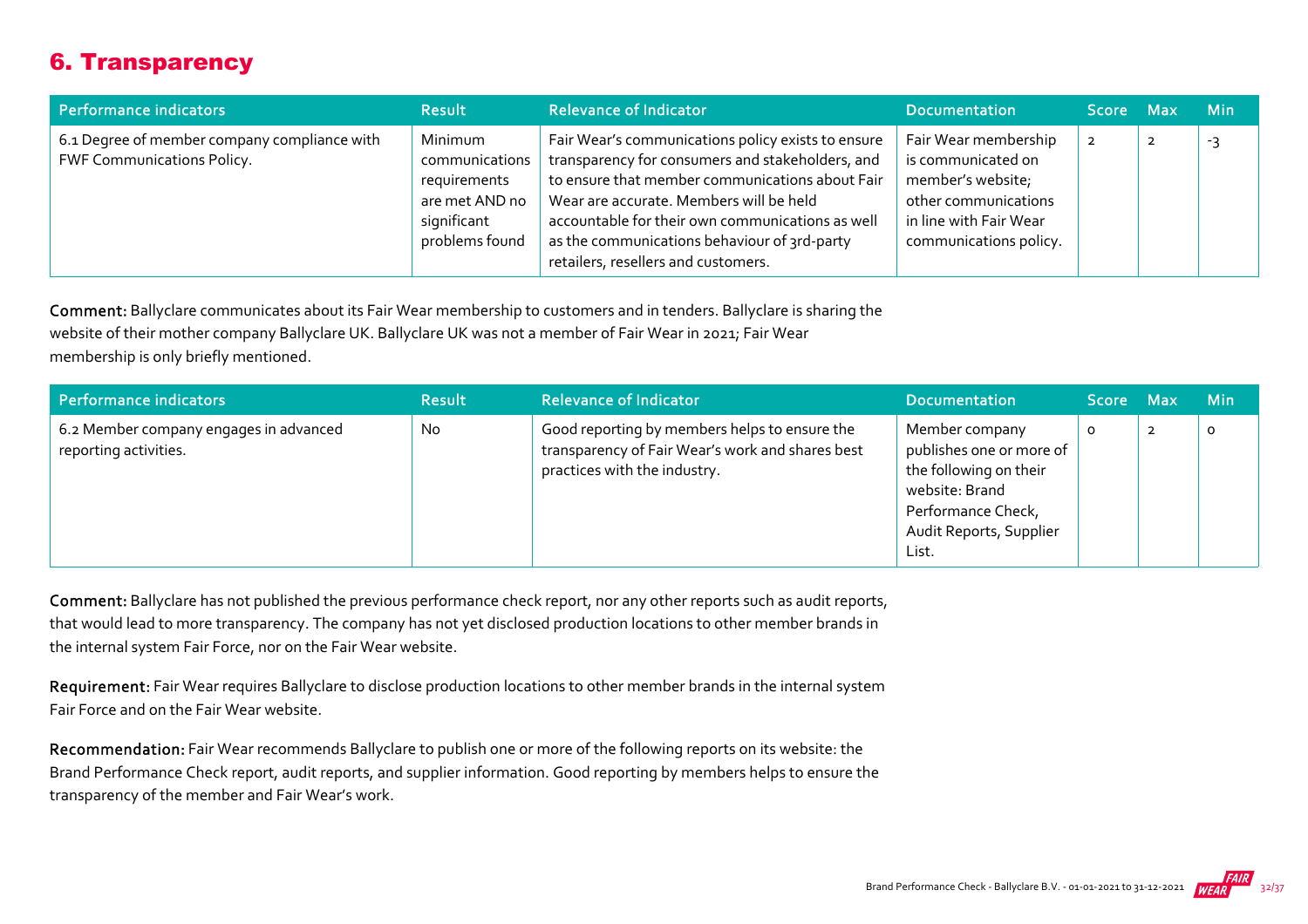## 6. Transparency

| Performance indicators                                                            | <b>Result</b>                                                                                | <b>Relevance of Indicator</b>                                                                                                                                                                                                                                                                                                                   | <b>Documentation</b>                                                                                                                        | Score Max | <b>Min</b> |
|-----------------------------------------------------------------------------------|----------------------------------------------------------------------------------------------|-------------------------------------------------------------------------------------------------------------------------------------------------------------------------------------------------------------------------------------------------------------------------------------------------------------------------------------------------|---------------------------------------------------------------------------------------------------------------------------------------------|-----------|------------|
| 6.1 Degree of member company compliance with<br><b>FWF Communications Policy.</b> | Minimum<br>communications<br>requirements<br>are met AND no<br>significant<br>problems found | Fair Wear's communications policy exists to ensure<br>transparency for consumers and stakeholders, and<br>to ensure that member communications about Fair<br>Wear are accurate. Members will be held<br>accountable for their own communications as well<br>as the communications behaviour of 3rd-party<br>retailers, resellers and customers. | Fair Wear membership<br>is communicated on<br>member's website;<br>other communications<br>in line with Fair Wear<br>communications policy. |           | -3         |

Comment: Ballyclare communicates about its Fair Wear membership to customers and in tenders. Ballyclare is sharing the website of their mother company Ballyclare UK. Ballyclare UK was not a member of Fair Wear in 2021; Fair Wear membership is only briefly mentioned.

| Performance indicators                                          | <b>Result</b> | <b>Relevance of Indicator</b>                                                                                                     | <b>Documentation</b>                                                                                                                             | Score Max |                | <b>Min</b> |
|-----------------------------------------------------------------|---------------|-----------------------------------------------------------------------------------------------------------------------------------|--------------------------------------------------------------------------------------------------------------------------------------------------|-----------|----------------|------------|
| 6.2 Member company engages in advanced<br>reporting activities. | <b>No</b>     | Good reporting by members helps to ensure the<br>transparency of Fair Wear's work and shares best<br>practices with the industry. | Member company<br>publishes one or more of<br>the following on their<br>website: Brand<br>Performance Check,<br>Audit Reports, Supplier<br>List. | 0         | $\overline{2}$ | O          |

Comment: Ballyclare has not published the previous performance check report, nor any other reports such as audit reports, that would lead to more transparency. The company has not yet disclosed production locations to other member brands in the internal system Fair Force, nor on the Fair Wear website.

Requirement: Fair Wear requires Ballyclare to disclose production locations to other member brands in the internal system Fair Force and on the Fair Wear website.

Recommendation: Fair Wear recommends Ballyclare to publish one or more of the following reports on its website: the Brand Performance Check report, audit reports, and supplier information. Good reporting by members helps to ensure the transparency of the member and Fair Wear's work.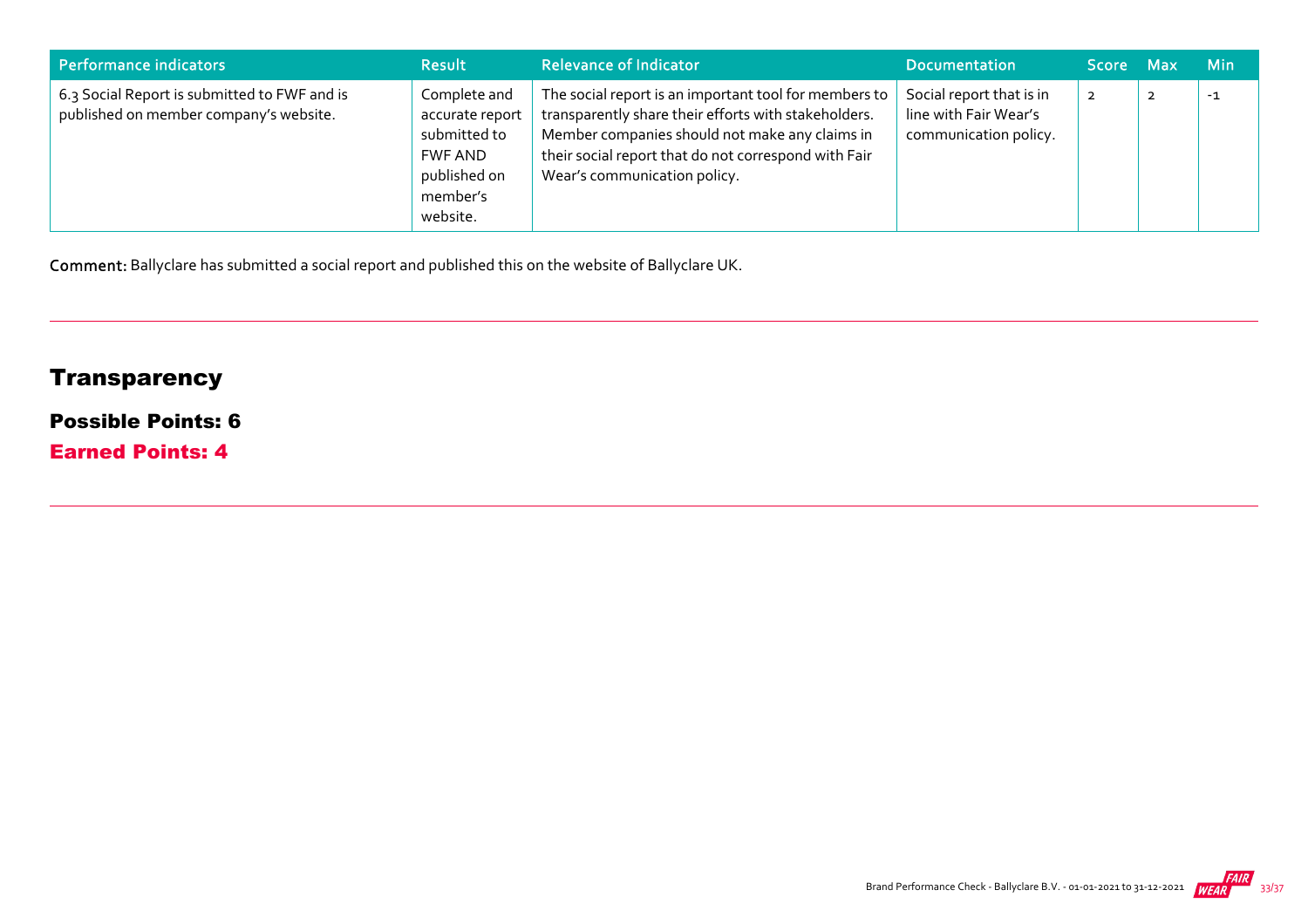| Performance indicators                                                                 | <b>Result</b>                                                                                      | <b>Relevance of Indicator</b>                                                                                                                                                                                                                           | <b>Documentation</b>                                                       | Score Max      | <b>Min</b> |
|----------------------------------------------------------------------------------------|----------------------------------------------------------------------------------------------------|---------------------------------------------------------------------------------------------------------------------------------------------------------------------------------------------------------------------------------------------------------|----------------------------------------------------------------------------|----------------|------------|
| 6.3 Social Report is submitted to FWF and is<br>published on member company's website. | Complete and<br>accurate report<br>submitted to<br>FWF AND<br>published on<br>member's<br>website. | The social report is an important tool for members to<br>transparently share their efforts with stakeholders.<br>Member companies should not make any claims in<br>their social report that do not correspond with Fair<br>Wear's communication policy. | Social report that is in<br>line with Fair Wear's<br>communication policy. | $\overline{2}$ | $-1$       |

Comment: Ballyclare has submitted a social report and published this on the website of Ballyclare UK.

## **Transparency**

#### Possible Points: 6

Earned Points: 4

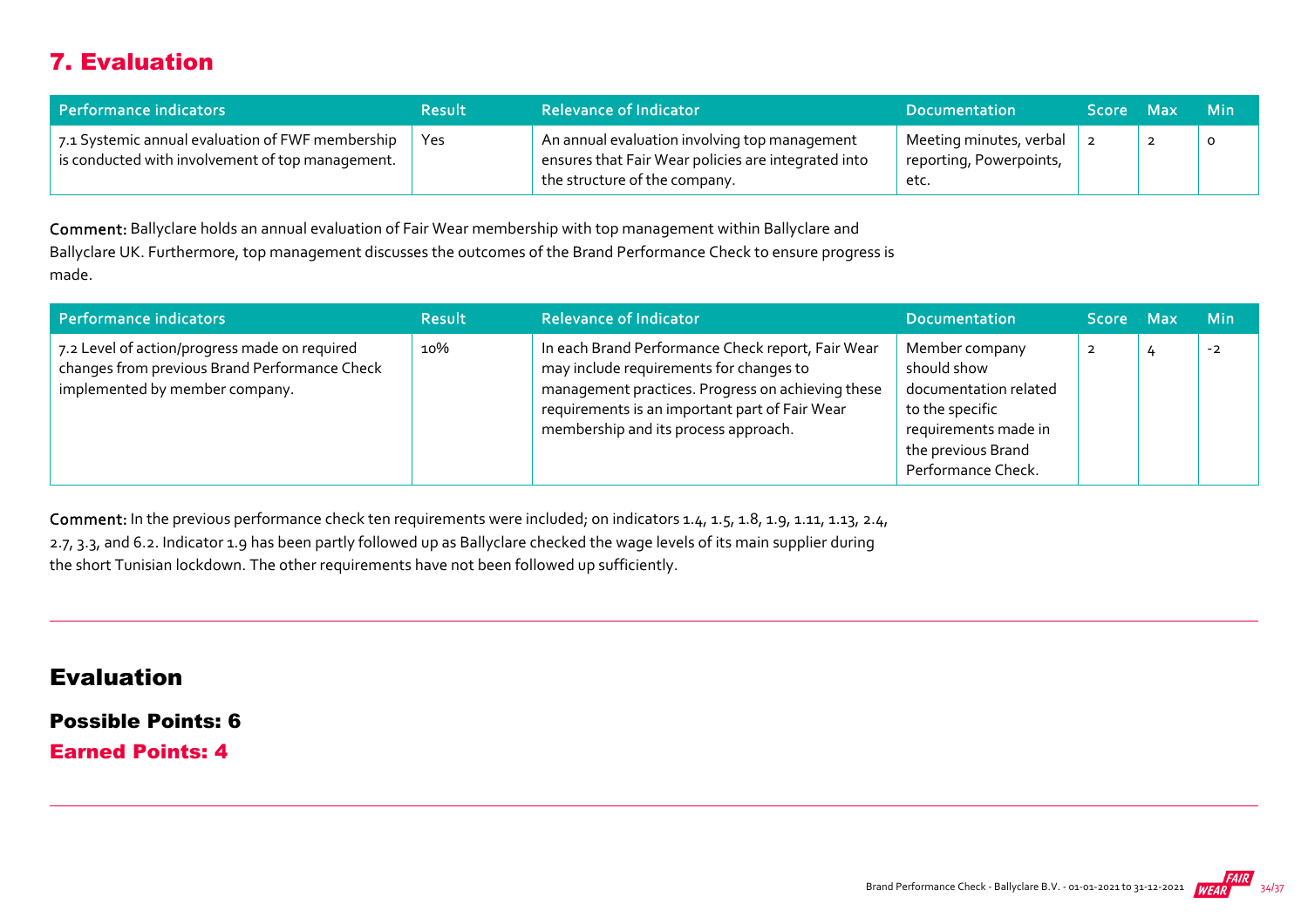## 7. Evaluation

| Performance indicators                                                                               | <b>Result</b> | <b>Relevance of Indicator</b>                                                                                                         | <b>Documentation</b>                                       | <b>Score</b> | - Max | - Min   |
|------------------------------------------------------------------------------------------------------|---------------|---------------------------------------------------------------------------------------------------------------------------------------|------------------------------------------------------------|--------------|-------|---------|
| 7.1 Systemic annual evaluation of FWF membership<br>is conducted with involvement of top management. | Yes           | An annual evaluation involving top management<br>ensures that Fair Wear policies are integrated into<br>the structure of the company. | Meeting minutes, verbal<br>reporting, Powerpoints,<br>etc. |              |       | $\circ$ |

Comment: Ballyclare holds an annual evaluation of Fair Wear membership with top management within Ballyclare and Ballyclare UK. Furthermore, top management discusses the outcomes of the Brand Performance Check to ensure progress is made.

| Performance indicators                                                                                                           | <b>Result</b> | <b>Relevance of Indicator</b>                                                                                                                                                                                                               | <b>Documentation</b>                                                                                                                          | <b>Score Max</b> | <b>Min</b> |
|----------------------------------------------------------------------------------------------------------------------------------|---------------|---------------------------------------------------------------------------------------------------------------------------------------------------------------------------------------------------------------------------------------------|-----------------------------------------------------------------------------------------------------------------------------------------------|------------------|------------|
| 7.2 Level of action/progress made on required<br>changes from previous Brand Performance Check<br>implemented by member company. | 10%           | In each Brand Performance Check report, Fair Wear<br>may include requirements for changes to<br>management practices. Progress on achieving these<br>requirements is an important part of Fair Wear<br>membership and its process approach. | Member company<br>should show<br>documentation related<br>to the specific<br>requirements made in<br>the previous Brand<br>Performance Check. |                  | $-2$       |

Comment: In the previous performance check ten requirements were included; on indicators 1.4, 1.5, 1.8, 1.9, 1.11, 1.13, 2.4, 2.7, 3.3, and 6.2. Indicator 1.9 has been partly followed up as Ballyclare checked the wage levels of its main supplier during the short Tunisian lockdown. The other requirements have not been followed up sufficiently.

#### Evaluation

Possible Points: 6

Earned Points: 4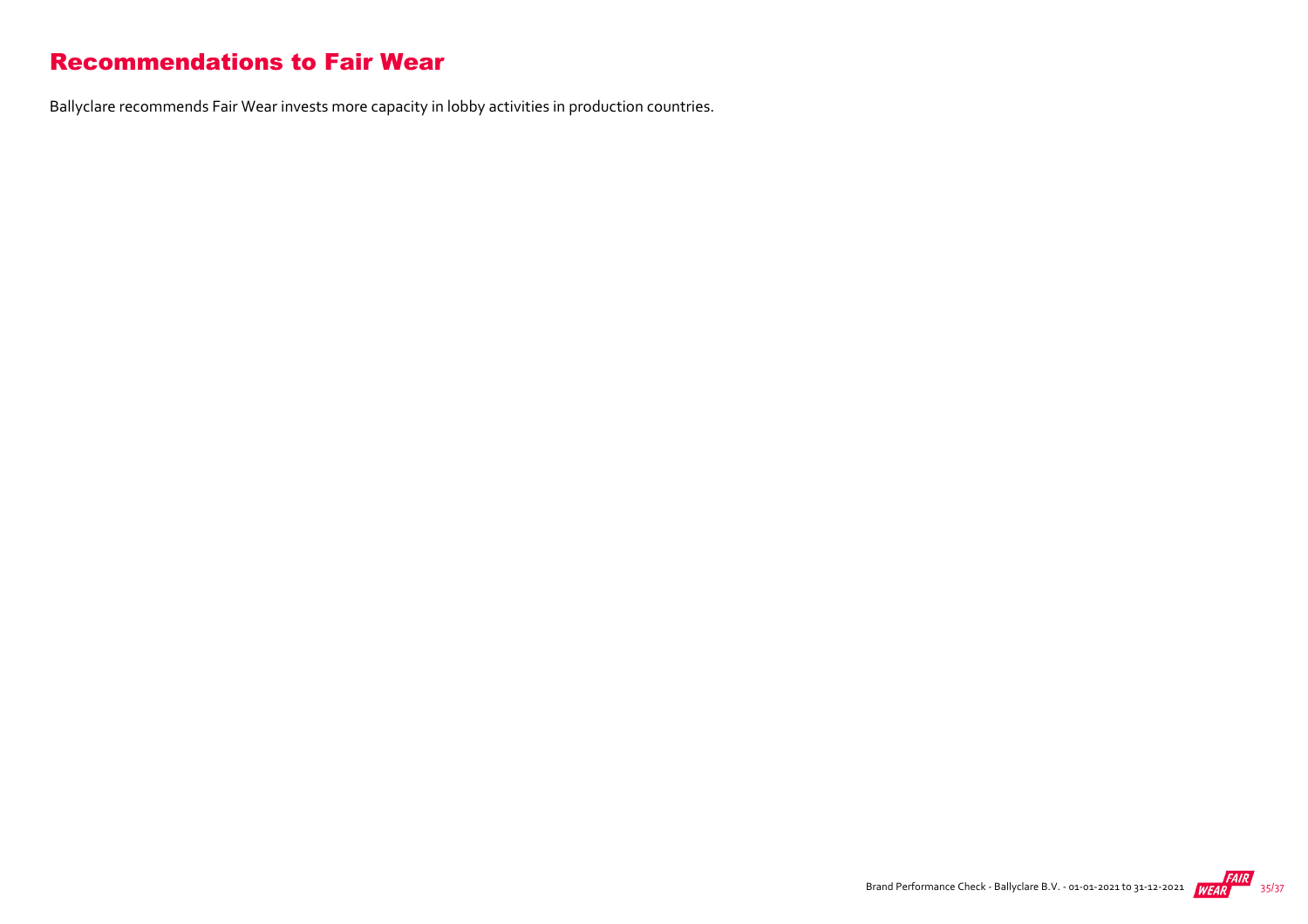#### Recommendations to Fair Wear

Ballyclare recommends Fair Wear invests more capacity in lobby activities in production countries.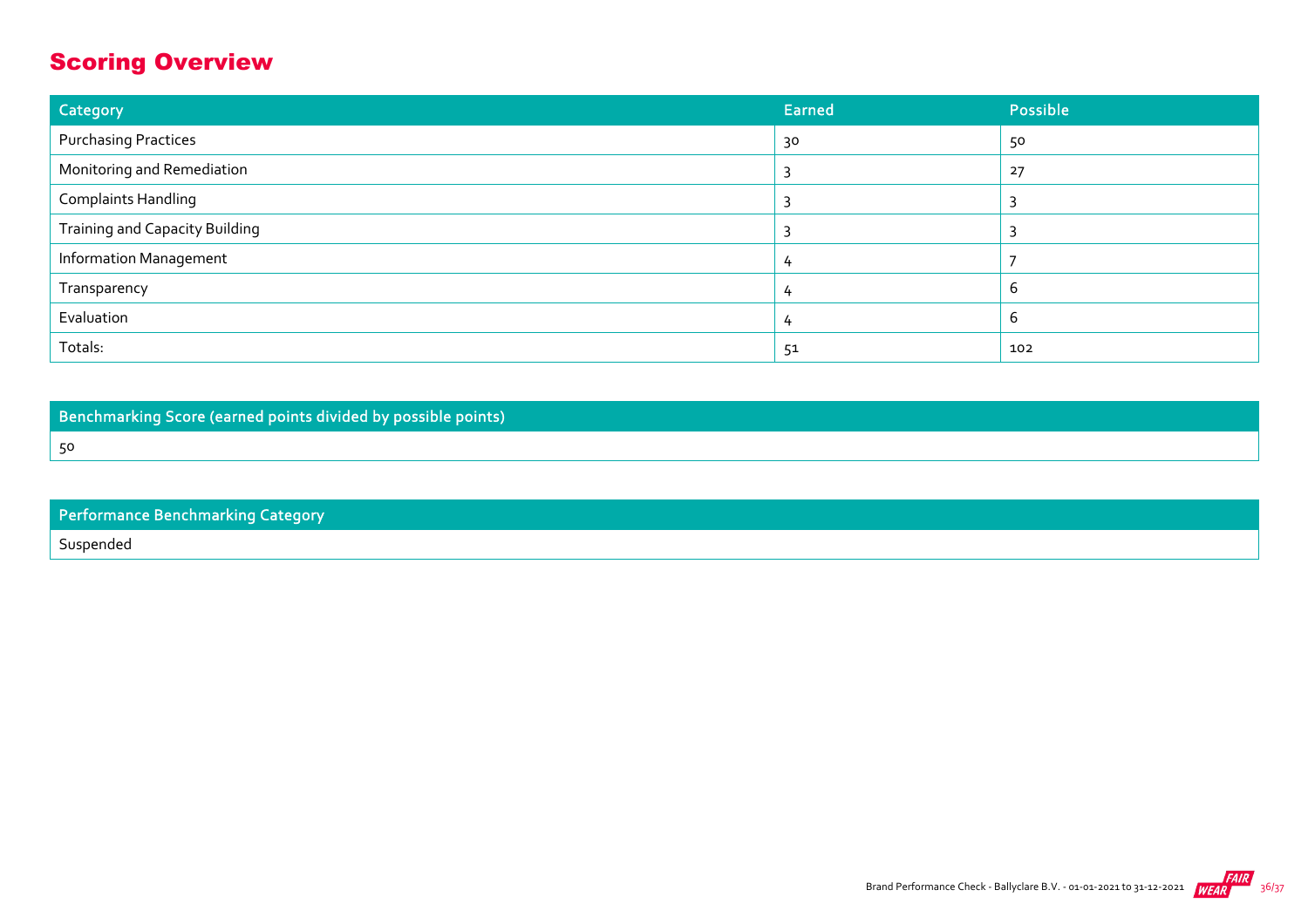## Scoring Overview

| Category                              | <b>Earned</b> | Possible |
|---------------------------------------|---------------|----------|
| <b>Purchasing Practices</b>           | 30            | 50       |
| Monitoring and Remediation            |               | 27       |
| <b>Complaints Handling</b>            |               |          |
| <b>Training and Capacity Building</b> |               |          |
| <b>Information Management</b>         | 4             |          |
| Transparency                          | 4             | b        |
| Evaluation                            |               | b        |
| Totals:                               | 51            | 102      |

Benchmarking Score (earned points divided by possible points)

50

| Performance Benchmarking Category |
|-----------------------------------|
| Suspended                         |